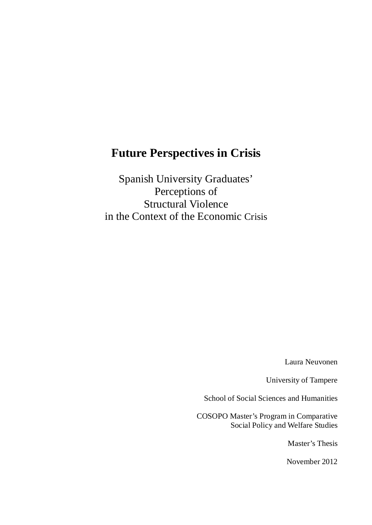# **Future Perspectives in Crisis**

Spanish University Graduates' Perceptions of Structural Violence in the Context of the Economic Crisis

Laura Neuvonen

University of Tampere

School of Social Sciences and Humanities

COSOPO Master's Program in Comparative Social Policy and Welfare Studies

Master's Thesis

November 2012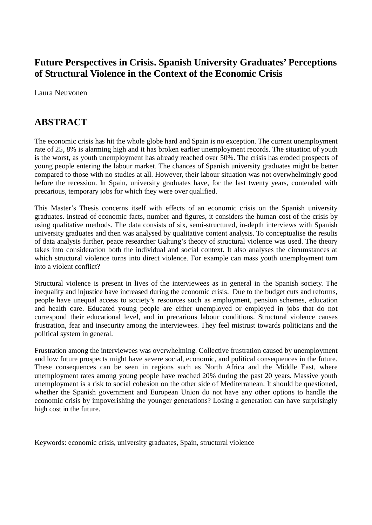# **Future Perspectives in Crisis. Spanish University Graduates' Perceptions of Structural Violence in the Context of the Economic Crisis**

Laura Neuvonen

# **ABSTRACT**

The economic crisis has hit the whole globe hard and Spain is no exception. The current unemployment rate of 25, 8% is alarming high and it has broken earlier unemployment records. The situation of youth is the worst, as youth unemployment has already reached over 50%. The crisis has eroded prospects of young people entering the labour market. The chances of Spanish university graduates might be better compared to those with no studies at all. However, their labour situation was not overwhelmingly good before the recession. In Spain, university graduates have, for the last twenty years, contended with precarious, temporary jobs for which they were over qualified.

This Master's Thesis concerns itself with effects of an economic crisis on the Spanish university graduates. Instead of economic facts, number and figures, it considers the human cost of the crisis by using qualitative methods. The data consists of six, semi-structured, in-depth interviews with Spanish university graduates and then was analysed by qualitative content analysis. To conceptualise the results of data analysis further, peace researcher Galtung's theory of structural violence was used. The theory takes into consideration both the individual and social context. It also analyses the circumstances at which structural violence turns into direct violence. For example can mass youth unemployment turn into a violent conflict?

Structural violence is present in lives of the interviewees as in general in the Spanish society. The inequality and injustice have increased during the economic crisis. Due to the budget cuts and reforms, people have unequal access to society's resources such as employment, pension schemes, education and health care. Educated young people are either unemployed or employed in jobs that do not correspond their educational level, and in precarious labour conditions. Structural violence causes frustration, fear and insecurity among the interviewees. They feel mistrust towards politicians and the political system in general.

Frustration among the interviewees was overwhelming. Collective frustration caused by unemployment and low future prospects might have severe social, economic, and political consequences in the future. These consequences can be seen in regions such as North Africa and the Middle East, where unemployment rates among young people have reached 20% during the past 20 years. Massive youth unemployment is a risk to social cohesion on the other side of Mediterranean. It should be questioned, whether the Spanish government and European Union do not have any other options to handle the economic crisis by impoverishing the younger generations? Losing a generation can have surprisingly high cost in the future.

Keywords: economic crisis, university graduates, Spain, structural violence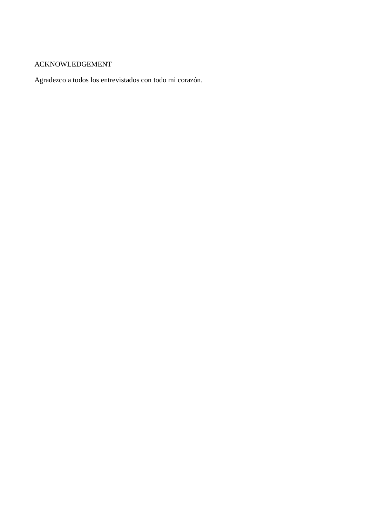### ACKNOWLEDGEMENT

Agradezco a todos los entrevistados con todo mi corazón.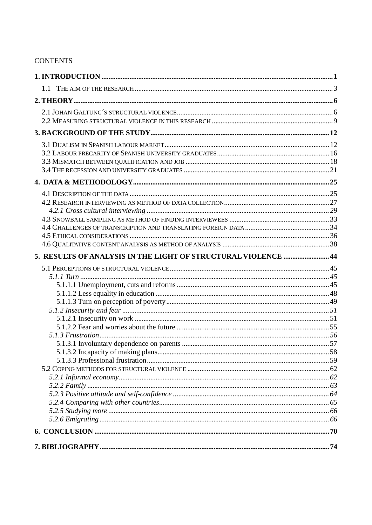### **CONTENTS**

| 1.1                                                            |  |
|----------------------------------------------------------------|--|
|                                                                |  |
|                                                                |  |
|                                                                |  |
|                                                                |  |
|                                                                |  |
|                                                                |  |
|                                                                |  |
|                                                                |  |
|                                                                |  |
|                                                                |  |
|                                                                |  |
|                                                                |  |
|                                                                |  |
|                                                                |  |
|                                                                |  |
| 5. RESULTS OF ANALYSIS IN THE LIGHT OF STRUCTURAL VIOLENCE  44 |  |
|                                                                |  |
|                                                                |  |
|                                                                |  |
|                                                                |  |
|                                                                |  |
|                                                                |  |
|                                                                |  |
|                                                                |  |
|                                                                |  |
|                                                                |  |
|                                                                |  |
|                                                                |  |
|                                                                |  |
|                                                                |  |
|                                                                |  |
|                                                                |  |
|                                                                |  |
|                                                                |  |
|                                                                |  |
|                                                                |  |
|                                                                |  |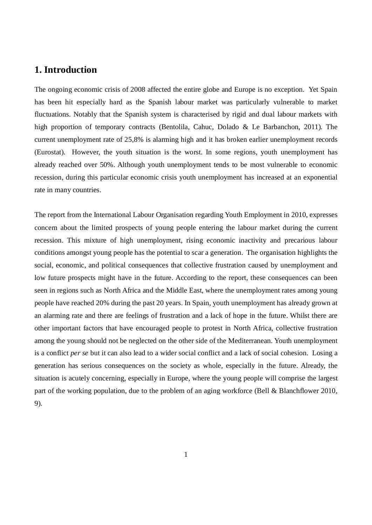## **1. Introduction**

The ongoing economic crisis of 2008 affected the entire globe and Europe is no exception. Yet Spain has been hit especially hard as the Spanish labour market was particularly vulnerable to market fluctuations. Notably that the Spanish system is characterised by rigid and dual labour markets with high proportion of temporary contracts (Bentolila, Cahuc, Dolado & Le Barbanchon, 2011). The current unemployment rate of 25,8% is alarming high and it has broken earlier unemployment records (Eurostat). However, the youth situation is the worst. In some regions, youth unemployment has already reached over 50%. Although youth unemployment tends to be most vulnerable to economic recession, during this particular economic crisis youth unemployment has increased at an exponential rate in many countries.

The report from the International Labour Organisation regarding Youth Employment in 2010, expresses concern about the limited prospects of young people entering the labour market during the current recession. This mixture of high unemployment, rising economic inactivity and precarious labour conditions amongst young people has the potential to scar a generation. The organisation highlights the social, economic, and political consequences that collective frustration caused by unemployment and low future prospects might have in the future. According to the report, these consequences can been seen in regions such as North Africa and the Middle East, where the unemployment rates among young people have reached 20% during the past 20 years. In Spain, youth unemployment has already grown at an alarming rate and there are feelings of frustration and a lack of hope in the future. Whilst there are other important factors that have encouraged people to protest in North Africa, collective frustration among the young should not be neglected on the other side of the Mediterranean. Youth unemployment is a conflict *per se* but it can also lead to a wider social conflict and a lack of social cohesion. Losing a generation has serious consequences on the society as whole, especially in the future. Already, the situation is acutely concerning, especially in Europe, where the young people will comprise the largest part of the working population, due to the problem of an aging workforce (Bell & Blanchflower 2010, 9).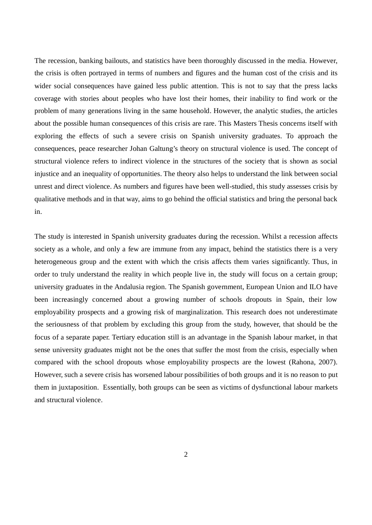The recession, banking bailouts, and statistics have been thoroughly discussed in the media. However, the crisis is often portrayed in terms of numbers and figures and the human cost of the crisis and its wider social consequences have gained less public attention. This is not to say that the press lacks coverage with stories about peoples who have lost their homes, their inability to find work or the problem of many generations living in the same household. However, the analytic studies, the articles about the possible human consequences of this crisis are rare. This Masters Thesis concerns itself with exploring the effects of such a severe crisis on Spanish university graduates. To approach the consequences, peace researcher Johan Galtung's theory on structural violence is used. The concept of structural violence refers to indirect violence in the structures of the society that is shown as social injustice and an inequality of opportunities. The theory also helps to understand the link between social unrest and direct violence. As numbers and figures have been well-studied, this study assesses crisis by qualitative methods and in that way, aims to go behind the official statistics and bring the personal back in.

The study is interested in Spanish university graduates during the recession. Whilst a recession affects society as a whole, and only a few are immune from any impact, behind the statistics there is a very heterogeneous group and the extent with which the crisis affects them varies significantly. Thus, in order to truly understand the reality in which people live in, the study will focus on a certain group; university graduates in the Andalusia region. The Spanish government, European Union and ILO have been increasingly concerned about a growing number of schools dropouts in Spain, their low employability prospects and a growing risk of marginalization. This research does not underestimate the seriousness of that problem by excluding this group from the study, however, that should be the focus of a separate paper. Tertiary education still is an advantage in the Spanish labour market, in that sense university graduates might not be the ones that suffer the most from the crisis, especially when compared with the school dropouts whose employability prospects are the lowest (Rahona, 2007). However, such a severe crisis has worsened labour possibilities of both groups and it is no reason to put them in juxtaposition. Essentially, both groups can be seen as victims of dysfunctional labour markets and structural violence.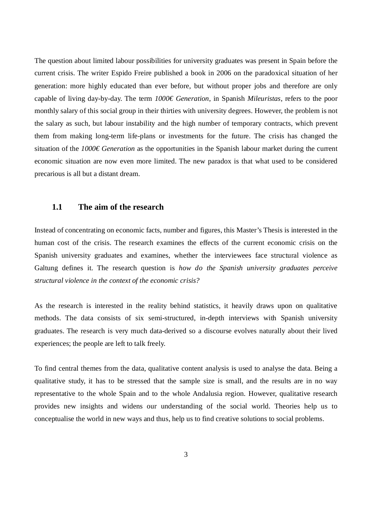The question about limited labour possibilities for university graduates was present in Spain before the current crisis. The writer Espido Freire published a book in 2006 on the paradoxical situation of her generation: more highly educated than ever before, but without proper jobs and therefore are only capable of living day-by-day. The term *1000€ Generation*, in Spanish *Mileuristas*, refers to the poor monthly salary of this social group in their thirties with university degrees. However, the problem is not the salary as such, but labour instability and the high number of temporary contracts, which prevent them from making long-term life-plans or investments for the future. The crisis has changed the situation of the *1000€ Generation* as the opportunities in the Spanish labour market during the current economic situation are now even more limited. The new paradox is that what used to be considered precarious is all but a distant dream.

#### **1.1 The aim of the research**

Instead of concentrating on economic facts, number and figures, this Master's Thesis is interested in the human cost of the crisis. The research examines the effects of the current economic crisis on the Spanish university graduates and examines, whether the interviewees face structural violence as Galtung defines it. The research question is *how do the Spanish university graduates perceive structural violence in the context of the economic crisis?*

As the research is interested in the reality behind statistics, it heavily draws upon on qualitative methods. The data consists of six semi-structured, in-depth interviews with Spanish university graduates. The research is very much data-derived so a discourse evolves naturally about their lived experiences; the people are left to talk freely.

To find central themes from the data, qualitative content analysis is used to analyse the data. Being a qualitative study, it has to be stressed that the sample size is small, and the results are in no way representative to the whole Spain and to the whole Andalusia region. However, qualitative research provides new insights and widens our understanding of the social world. Theories help us to conceptualise the world in new ways and thus, help us to find creative solutions to social problems.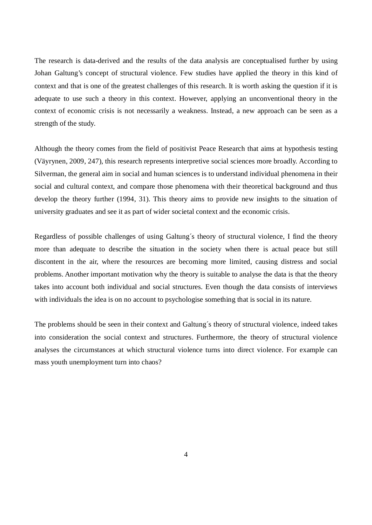The research is data-derived and the results of the data analysis are conceptualised further by using Johan Galtung's concept of structural violence. Few studies have applied the theory in this kind of context and that is one of the greatest challenges of this research. It is worth asking the question if it is adequate to use such a theory in this context. However, applying an unconventional theory in the context of economic crisis is not necessarily a weakness. Instead, a new approach can be seen as a strength of the study.

Although the theory comes from the field of positivist Peace Research that aims at hypothesis testing (Väyrynen, 2009, 247)*,* this research represents interpretive social sciences more broadly. According to Silverman, the general aim in social and human sciences is to understand individual phenomena in their social and cultural context, and compare those phenomena with their theoretical background and thus develop the theory further (1994, 31). This theory aims to provide new insights to the situation of university graduates and see it as part of wider societal context and the economic crisis.

Regardless of possible challenges of using Galtung´s theory of structural violence, I find the theory more than adequate to describe the situation in the society when there is actual peace but still discontent in the air, where the resources are becoming more limited, causing distress and social problems. Another important motivation why the theory is suitable to analyse the data is that the theory takes into account both individual and social structures. Even though the data consists of interviews with individuals the idea is on no account to psychologise something that is social in its nature.

The problems should be seen in their context and Galtung´s theory of structural violence, indeed takes into consideration the social context and structures. Furthermore, the theory of structural violence analyses the circumstances at which structural violence turns into direct violence. For example can mass youth unemployment turn into chaos?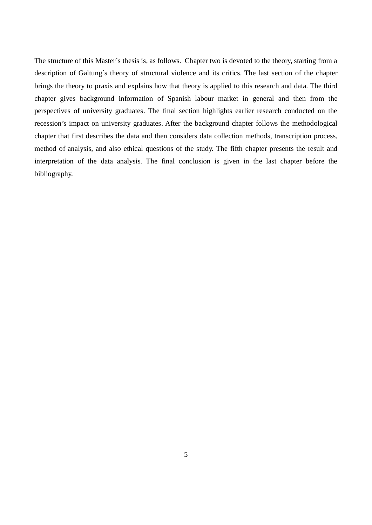The structure of this Master´s thesis is, as follows. Chapter two is devoted to the theory, starting from a description of Galtung´s theory of structural violence and its critics. The last section of the chapter brings the theory to praxis and explains how that theory is applied to this research and data. The third chapter gives background information of Spanish labour market in general and then from the perspectives of university graduates. The final section highlights earlier research conducted on the recession's impact on university graduates. After the background chapter follows the methodological chapter that first describes the data and then considers data collection methods, transcription process, method of analysis, and also ethical questions of the study. The fifth chapter presents the result and interpretation of the data analysis. The final conclusion is given in the last chapter before the bibliography.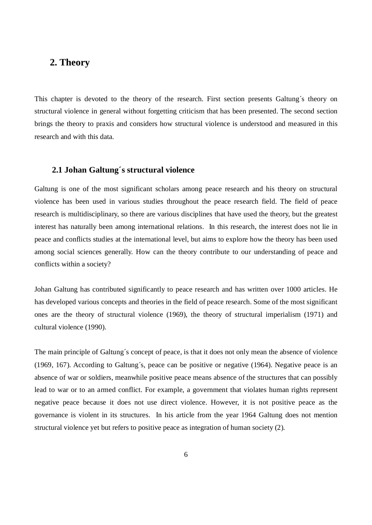## **2. Theory**

This chapter is devoted to the theory of the research. First section presents Galtung´s theory on structural violence in general without forgetting criticism that has been presented. The second section brings the theory to praxis and considers how structural violence is understood and measured in this research and with this data.

#### **2.1 Johan Galtung´s structural violence**

Galtung is one of the most significant scholars among peace research and his theory on structural violence has been used in various studies throughout the peace research field. The field of peace research is multidisciplinary, so there are various disciplines that have used the theory, but the greatest interest has naturally been among international relations. In this research, the interest does not lie in peace and conflicts studies at the international level, but aims to explore how the theory has been used among social sciences generally. How can the theory contribute to our understanding of peace and conflicts within a society?

Johan Galtung has contributed significantly to peace research and has written over 1000 articles. He has developed various concepts and theories in the field of peace research. Some of the most significant ones are the theory of structural violence (1969), the theory of structural imperialism (1971) and cultural violence (1990).

The main principle of Galtung´s concept of peace, is that it does not only mean the absence of violence (1969, 167). According to Galtung´s, peace can be positive or negative (1964). Negative peace is an absence of war or soldiers, meanwhile positive peace means absence of the structures that can possibly lead to war or to an armed conflict. For example, a government that violates human rights represent negative peace because it does not use direct violence. However, it is not positive peace as the governance is violent in its structures. In his article from the year 1964 Galtung does not mention structural violence yet but refers to positive peace as integration of human society (2).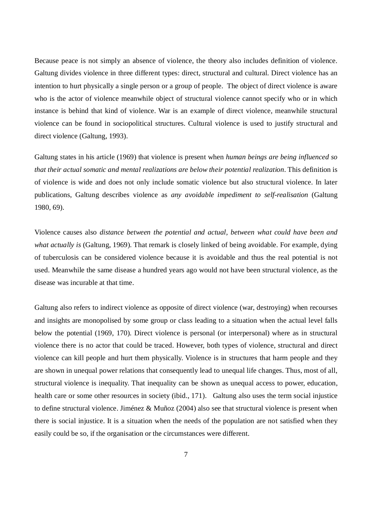Because peace is not simply an absence of violence, the theory also includes definition of violence. Galtung divides violence in three different types: direct, structural and cultural. Direct violence has an intention to hurt physically a single person or a group of people. The object of direct violence is aware who is the actor of violence meanwhile object of structural violence cannot specify who or in which instance is behind that kind of violence. War is an example of direct violence, meanwhile structural violence can be found in sociopolitical structures. Cultural violence is used to justify structural and direct violence (Galtung, 1993).

Galtung states in his article (1969) that violence is present when *human beings are being influenced so that their actual somatic and mental realizations are below their potential realization*. This definition is of violence is wide and does not only include somatic violence but also structural violence. In later publications, Galtung describes violence as *any avoidable impediment to self-realisation* (Galtung 1980, 69).

Violence causes also *distance between the potential and actual, between what could have been and what actually is* (Galtung, 1969). That remark is closely linked of being avoidable. For example, dying of tuberculosis can be considered violence because it is avoidable and thus the real potential is not used. Meanwhile the same disease a hundred years ago would not have been structural violence, as the disease was incurable at that time.

Galtung also refers to indirect violence as opposite of direct violence (war, destroying) when recourses and insights are monopolised by some group or class leading to a situation when the actual level falls below the potential (1969, 170). Direct violence is personal (or interpersonal) where as in structural violence there is no actor that could be traced. However, both types of violence, structural and direct violence can kill people and hurt them physically. Violence is in structures that harm people and they are shown in unequal power relations that consequently lead to unequal life changes. Thus, most of all, structural violence is inequality. That inequality can be shown as unequal access to power, education, health care or some other resources in society (ibid., 171). Galtung also uses the term social injustice to define structural violence. Jiménez & Muñoz (2004) also see that structural violence is present when there is social injustice. It is a situation when the needs of the population are not satisfied when they easily could be so, if the organisation or the circumstances were different.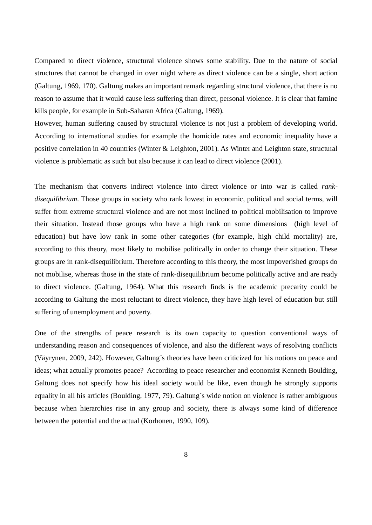Compared to direct violence, structural violence shows some stability. Due to the nature of social structures that cannot be changed in over night where as direct violence can be a single, short action (Galtung, 1969, 170). Galtung makes an important remark regarding structural violence, that there is no reason to assume that it would cause less suffering than direct, personal violence. It is clear that famine kills people, for example in Sub-Saharan Africa (Galtung, 1969).

However, human suffering caused by structural violence is not just a problem of developing world. According to international studies for example the homicide rates and economic inequality have a positive correlation in 40 countries (Winter & Leighton, 2001). As Winter and Leighton state, structural violence is problematic as such but also because it can lead to direct violence (2001).

The mechanism that converts indirect violence into direct violence or into war is called *rankdisequilibrium*. Those groups in society who rank lowest in economic, political and social terms, will suffer from extreme structural violence and are not most inclined to political mobilisation to improve their situation. Instead those groups who have a high rank on some dimensions (high level of education) but have low rank in some other categories (for example, high child mortality) are, according to this theory, most likely to mobilise politically in order to change their situation. These groups are in rank-disequilibrium. Therefore according to this theory, the most impoverished groups do not mobilise, whereas those in the state of rank-disequilibrium become politically active and are ready to direct violence. (Galtung, 1964). What this research finds is the academic precarity could be according to Galtung the most reluctant to direct violence, they have high level of education but still suffering of unemployment and poverty.

One of the strengths of peace research is its own capacity to question conventional ways of understanding reason and consequences of violence, and also the different ways of resolving conflicts (Väyrynen, 2009, 242). However, Galtung´s theories have been criticized for his notions on peace and ideas; what actually promotes peace? According to peace researcher and economist Kenneth Boulding, Galtung does not specify how his ideal society would be like, even though he strongly supports equality in all his articles (Boulding, 1977, 79). Galtung´s wide notion on violence is rather ambiguous because when hierarchies rise in any group and society, there is always some kind of difference between the potential and the actual (Korhonen, 1990, 109).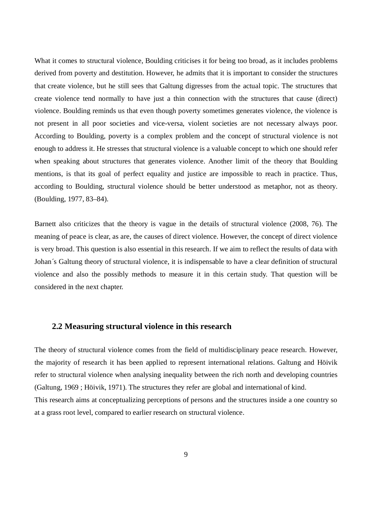What it comes to structural violence, Boulding criticises it for being too broad, as it includes problems derived from poverty and destitution. However, he admits that it is important to consider the structures that create violence, but he still sees that Galtung digresses from the actual topic. The structures that create violence tend normally to have just a thin connection with the structures that cause (direct) violence. Boulding reminds us that even though poverty sometimes generates violence, the violence is not present in all poor societies and vice-versa, violent societies are not necessary always poor. According to Boulding, poverty is a complex problem and the concept of structural violence is not enough to address it. He stresses that structural violence is a valuable concept to which one should refer when speaking about structures that generates violence. Another limit of the theory that Boulding mentions, is that its goal of perfect equality and justice are impossible to reach in practice. Thus, according to Boulding, structural violence should be better understood as metaphor, not as theory. (Boulding, 1977, 83–84).

Barnett also criticizes that the theory is vague in the details of structural violence (2008, 76). The meaning of peace is clear, as are, the causes of direct violence. However, the concept of direct violence is very broad. This question is also essential in this research. If we aim to reflect the results of data with Johan´s Galtung theory of structural violence, it is indispensable to have a clear definition of structural violence and also the possibly methods to measure it in this certain study. That question will be considered in the next chapter.

### **2.2 Measuring structural violence in this research**

The theory of structural violence comes from the field of multidisciplinary peace research. However, the majority of research it has been applied to represent international relations. Galtung and Höivik refer to structural violence when analysing inequality between the rich north and developing countries (Galtung, 1969 ; Höivik, 1971). The structures they refer are global and international of kind. This research aims at conceptualizing perceptions of persons and the structures inside a one country so at a grass root level, compared to earlier research on structural violence.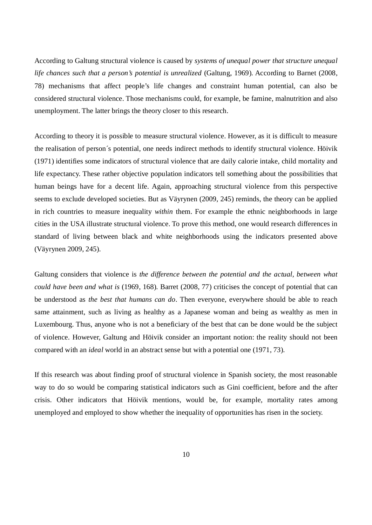According to Galtung structural violence is caused by *systems of unequal power that structure unequal life chances such that a person's potential is unrealized* (Galtung, 1969). According to Barnet (2008, 78) mechanisms that affect people's life changes and constraint human potential, can also be considered structural violence. Those mechanisms could, for example, be famine, malnutrition and also unemployment. The latter brings the theory closer to this research.

According to theory it is possible to measure structural violence. However, as it is difficult to measure the realisation of person´s potential, one needs indirect methods to identify structural violence. Höivik (1971) identifies some indicators of structural violence that are daily calorie intake, child mortality and life expectancy. These rather objective population indicators tell something about the possibilities that human beings have for a decent life. Again, approaching structural violence from this perspective seems to exclude developed societies. But as Väyrynen (2009, 245) reminds, the theory can be applied in rich countries to measure inequality *within* them. For example the ethnic neighborhoods in large cities in the USA illustrate structural violence. To prove this method, one would research differences in standard of living between black and white neighborhoods using the indicators presented above (Väyrynen 2009, 245).

Galtung considers that violence is *the difference between the potential and the actual, between what could have been and what is* (1969, 168). Barret (2008, 77) criticises the concept of potential that can be understood as *the best that humans can do*. Then everyone, everywhere should be able to reach same attainment, such as living as healthy as a Japanese woman and being as wealthy as men in Luxembourg. Thus, anyone who is not a beneficiary of the best that can be done would be the subject of violence. However, Galtung and Höivik consider an important notion: the reality should not been compared with an *ideal* world in an abstract sense but with a potential one (1971, 73).

If this research was about finding proof of structural violence in Spanish society, the most reasonable way to do so would be comparing statistical indicators such as Gini coefficient, before and the after crisis. Other indicators that Höivik mentions, would be, for example, mortality rates among unemployed and employed to show whether the inequality of opportunities has risen in the society.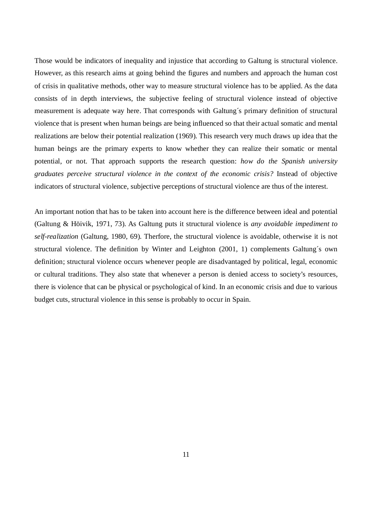Those would be indicators of inequality and injustice that according to Galtung is structural violence. However, as this research aims at going behind the figures and numbers and approach the human cost of crisis in qualitative methods, other way to measure structural violence has to be applied. As the data consists of in depth interviews, the subjective feeling of structural violence instead of objective measurement is adequate way here. That corresponds with Galtung´s primary definition of structural violence that is present when human beings are being influenced so that their actual somatic and mental realizations are below their potential realization (1969). This research very much draws up idea that the human beings are the primary experts to know whether they can realize their somatic or mental potential, or not. That approach supports the research question: *how do the Spanish university graduates perceive structural violence in the context of the economic crisis?* Instead of objective indicators of structural violence, subjective perceptions of structural violence are thus of the interest.

An important notion that has to be taken into account here is the difference between ideal and potential (Galtung & Höivik, 1971, 73). As Galtung puts it structural violence is *any avoidable impediment to self-realization* (Galtung, 1980, 69). Therfore, the structural violence is avoidable, otherwise it is not structural violence. The definition by Winter and Leighton (2001, 1) complements Galtung´s own definition; structural violence occurs whenever people are disadvantaged by political, legal, economic or cultural traditions. They also state that whenever a person is denied access to society's resources, there is violence that can be physical or psychological of kind. In an economic crisis and due to various budget cuts, structural violence in this sense is probably to occur in Spain.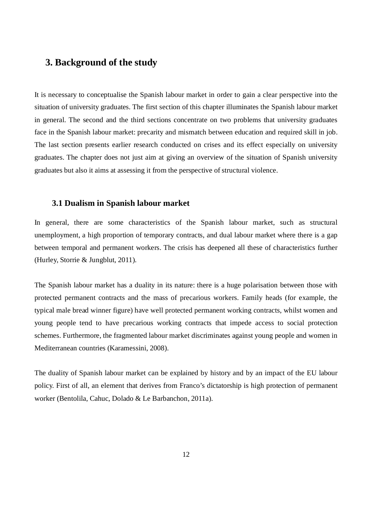## **3. Background of the study**

It is necessary to conceptualise the Spanish labour market in order to gain a clear perspective into the situation of university graduates. The first section of this chapter illuminates the Spanish labour market in general. The second and the third sections concentrate on two problems that university graduates face in the Spanish labour market: precarity and mismatch between education and required skill in job. The last section presents earlier research conducted on crises and its effect especially on university graduates. The chapter does not just aim at giving an overview of the situation of Spanish university graduates but also it aims at assessing it from the perspective of structural violence.

### **3.1 Dualism in Spanish labour market**

In general, there are some characteristics of the Spanish labour market, such as structural unemployment, a high proportion of temporary contracts, and dual labour market where there is a gap between temporal and permanent workers. The crisis has deepened all these of characteristics further (Hurley, Storrie & Jungblut, 2011).

The Spanish labour market has a duality in its nature: there is a huge polarisation between those with protected permanent contracts and the mass of precarious workers. Family heads (for example, the typical male bread winner figure) have well protected permanent working contracts, whilst women and young people tend to have precarious working contracts that impede access to social protection schemes. Furthermore, the fragmented labour market discriminates against young people and women in Mediterranean countries (Karamessini, 2008).

The duality of Spanish labour market can be explained by history and by an impact of the EU labour policy. First of all, an element that derives from Franco's dictatorship is high protection of permanent worker (Bentolila, Cahuc, Dolado & Le Barbanchon, 2011a).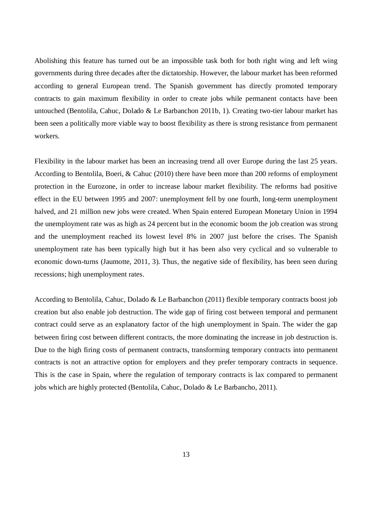Abolishing this feature has turned out be an impossible task both for both right wing and left wing governments during three decades after the dictatorship. However, the labour market has been reformed according to general European trend. The Spanish government has directly promoted temporary contracts to gain maximum flexibility in order to create jobs while permanent contacts have been untouched (Bentolila, Cahuc, Dolado & Le Barbanchon 2011b, 1). Creating two-tier labour market has been seen a politically more viable way to boost flexibility as there is strong resistance from permanent workers.

Flexibility in the labour market has been an increasing trend all over Europe during the last 25 years. According to Bentolila, Boeri, & Cahuc (2010) there have been more than 200 reforms of employment protection in the Eurozone, in order to increase labour market flexibility. The reforms had positive effect in the EU between 1995 and 2007: unemployment fell by one fourth, long-term unemployment halved, and 21 million new jobs were created. When Spain entered European Monetary Union in 1994 the unemployment rate was as high as 24 percent but in the economic boom the job creation was strong and the unemployment reached its lowest level 8% in 2007 just before the crises. The Spanish unemployment rate has been typically high but it has been also very cyclical and so vulnerable to economic down-turns (Jaumotte, 2011, 3). Thus, the negative side of flexibility, has been seen during recessions; high unemployment rates.

According to Bentolila, Cahuc, Dolado & Le Barbanchon (2011) flexible temporary contracts boost job creation but also enable job destruction. The wide gap of firing cost between temporal and permanent contract could serve as an explanatory factor of the high unemployment in Spain. The wider the gap between firing cost between different contracts, the more dominating the increase in job destruction is. Due to the high firing costs of permanent contracts, transforming temporary contracts into permanent contracts is not an attractive option for employers and they prefer temporary contracts in sequence. This is the case in Spain, where the regulation of temporary contracts is lax compared to permanent jobs which are highly protected (Bentolila, Cahuc, Dolado & Le Barbancho, 2011).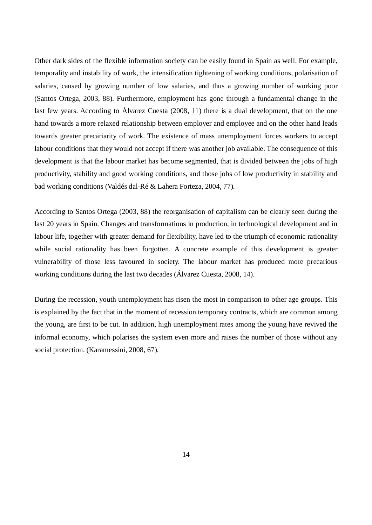Other dark sides of the flexible information society can be easily found in Spain as well. For example, temporality and instability of work, the intensification tightening of working conditions, polarisation of salaries, caused by growing number of low salaries, and thus a growing number of working poor (Santos Ortega, 2003, 88). Furthermore, employment has gone through a fundamental change in the last few years. According to Álvarez Cuesta (2008, 11) there is a dual development, that on the one hand towards a more relaxed relationship between employer and employee and on the other hand leads towards greater precariarity of work. The existence of mass unemployment forces workers to accept labour conditions that they would not accept if there was another job available. The consequence of this development is that the labour market has become segmented, that is divided between the jobs of high productivity, stability and good working conditions, and those jobs of low productivity in stability and bad working conditions (Valdés dal-Ré & Lahera Forteza, 2004, 77).

According to Santos Ortega (2003, 88) the reorganisation of capitalism can be clearly seen during the last 20 years in Spain. Changes and transformations in production, in technological development and in labour life, together with greater demand for flexibility, have led to the triumph of economic rationality while social rationality has been forgotten. A concrete example of this development is greater vulnerability of those less favoured in society. The labour market has produced more precarious working conditions during the last two decades (Álvarez Cuesta, 2008, 14).

During the recession, youth unemployment has risen the most in comparison to other age groups. This is explained by the fact that in the moment of recession temporary contracts, which are common among the young, are first to be cut. In addition, high unemployment rates among the young have revived the informal economy, which polarises the system even more and raises the number of those without any social protection. (Karamessini, 2008, 67).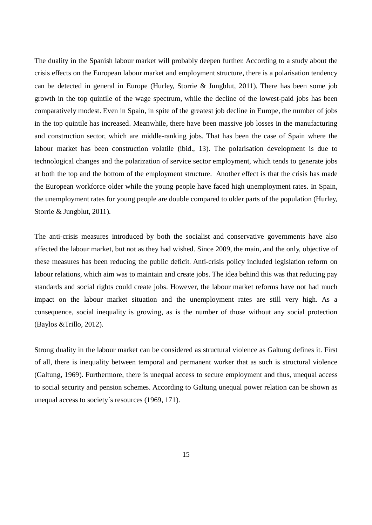The duality in the Spanish labour market will probably deepen further. According to a study about the crisis effects on the European labour market and employment structure, there is a polarisation tendency can be detected in general in Europe (Hurley, Storrie & Jungblut, 2011). There has been some job growth in the top quintile of the wage spectrum, while the decline of the lowest-paid jobs has been comparatively modest. Even in Spain, in spite of the greatest job decline in Europe, the number of jobs in the top quintile has increased. Meanwhile, there have been massive job losses in the manufacturing and construction sector, which are middle-ranking jobs. That has been the case of Spain where the labour market has been construction volatile (ibid., 13). The polarisation development is due to technological changes and the polarization of service sector employment, which tends to generate jobs at both the top and the bottom of the employment structure. Another effect is that the crisis has made the European workforce older while the young people have faced high unemployment rates. In Spain, the unemployment rates for young people are double compared to older parts of the population (Hurley, Storrie & Jungblut, 2011).

The anti-crisis measures introduced by both the socialist and conservative governments have also affected the labour market, but not as they had wished. Since 2009, the main, and the only, objective of these measures has been reducing the public deficit. Anti-crisis policy included legislation reform on labour relations, which aim was to maintain and create jobs. The idea behind this was that reducing pay standards and social rights could create jobs. However, the labour market reforms have not had much impact on the labour market situation and the unemployment rates are still very high. As a consequence, social inequality is growing, as is the number of those without any social protection (Baylos &Trillo, 2012).

Strong duality in the labour market can be considered as structural violence as Galtung defines it. First of all, there is inequality between temporal and permanent worker that as such is structural violence (Galtung, 1969). Furthermore, there is unequal access to secure employment and thus, unequal access to social security and pension schemes. According to Galtung unequal power relation can be shown as unequal access to society´s resources (1969, 171).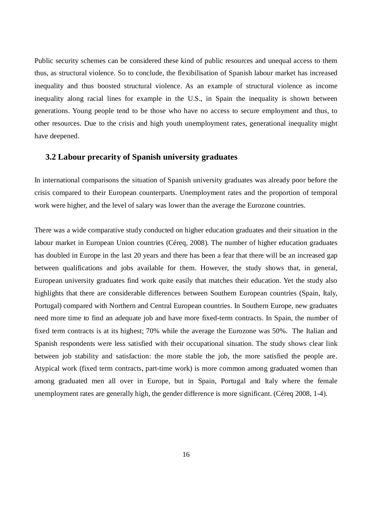Public security schemes can be considered these kind of public resources and unequal access to them thus, as structural violence. So to conclude, the flexibilisation of Spanish labour market has increased inequality and thus boosted structural violence. As an example of structural violence as income inequality along racial lines for example in the U.S., in Spain the inequality is shown between generations. Young people tend to be those who have no access to secure employment and thus, to other resources. Due to the crisis and high youth unemployment rates, generational inequality might have deepened.

#### **3.2 Labour precarity of Spanish university graduates**

In international comparisons the situation of Spanish university graduates was already poor before the crisis compared to their European counterparts. Unemployment rates and the proportion of temporal work were higher, and the level of salary was lower than the average the Eurozone countries.

There was a wide comparative study conducted on higher education graduates and their situation in the labour market in European Union countries (Céreq, 2008). The number of higher education graduates has doubled in Europe in the last 20 years and there has been a fear that there will be an increased gap between qualifications and jobs available for them. However, the study shows that, in general, European university graduates find work quite easily that matches their education. Yet the study also highlights that there are considerable differences between Southern European countries (Spain, Italy, Portugal) compared with Northern and Central European countries. In Southern Europe, new graduates need more time to find an adequate job and have more fixed-term contracts. In Spain, the number of fixed term contracts is at its highest; 70% while the average the Eurozone was 50%. The Italian and Spanish respondents were less satisfied with their occupational situation. The study shows clear link between job stability and satisfaction: the more stable the job, the more satisfied the people are. Atypical work (fixed term contracts, part-time work) is more common among graduated women than among graduated men all over in Europe, but in Spain, Portugal and Italy where the female unemployment rates are generally high, the gender difference is more significant. (Céreq 2008, 1-4).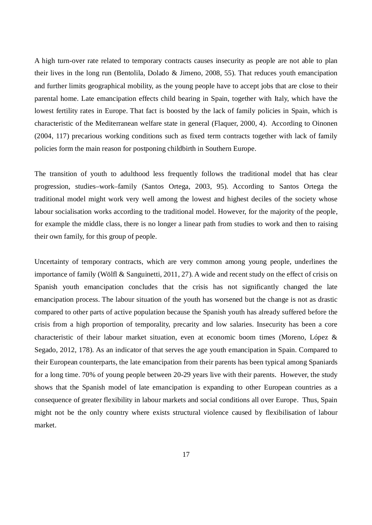A high turn-over rate related to temporary contracts causes insecurity as people are not able to plan their lives in the long run (Bentolila, Dolado & Jimeno, 2008, 55). That reduces youth emancipation and further limits geographical mobility, as the young people have to accept jobs that are close to their parental home. Late emancipation effects child bearing in Spain, together with Italy, which have the lowest fertility rates in Europe. That fact is boosted by the lack of family policies in Spain, which is characteristic of the Mediterranean welfare state in general (Flaquer, 2000, 4). According to Oinonen (2004, 117) precarious working conditions such as fixed term contracts together with lack of family policies form the main reason for postponing childbirth in Southern Europe.

The transition of youth to adulthood less frequently follows the traditional model that has clear progression, studies–work–family (Santos Ortega, 2003, 95). According to Santos Ortega the traditional model might work very well among the lowest and highest deciles of the society whose labour socialisation works according to the traditional model. However, for the majority of the people, for example the middle class, there is no longer a linear path from studies to work and then to raising their own family, for this group of people.

Uncertainty of temporary contracts, which are very common among young people, underlines the importance of family (Wölfl & Sanguinetti, 2011, 27). A wide and recent study on the effect of crisis on Spanish youth emancipation concludes that the crisis has not significantly changed the late emancipation process. The labour situation of the youth has worsened but the change is not as drastic compared to other parts of active population because the Spanish youth has already suffered before the crisis from a high proportion of temporality, precarity and low salaries. Insecurity has been a core characteristic of their labour market situation, even at economic boom times (Moreno, López & Segado, 2012, 178). As an indicator of that serves the age youth emancipation in Spain. Compared to their European counterparts, the late emancipation from their parents has been typical among Spaniards for a long time. 70% of young people between 20-29 years live with their parents. However, the study shows that the Spanish model of late emancipation is expanding to other European countries as a consequence of greater flexibility in labour markets and social conditions all over Europe. Thus, Spain might not be the only country where exists structural violence caused by flexibilisation of labour market.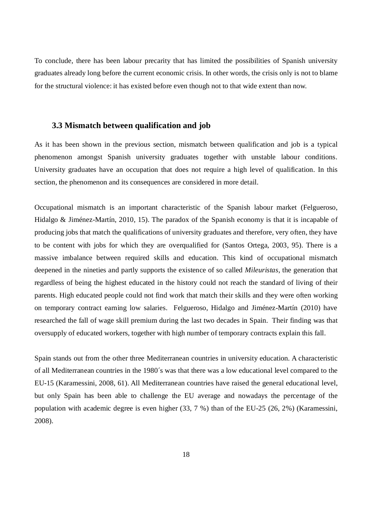To conclude, there has been labour precarity that has limited the possibilities of Spanish university graduates already long before the current economic crisis. In other words, the crisis only is not to blame for the structural violence: it has existed before even though not to that wide extent than now.

#### **3.3 Mismatch between qualification and job**

As it has been shown in the previous section, mismatch between qualification and job is a typical phenomenon amongst Spanish university graduates together with unstable labour conditions. University graduates have an occupation that does not require a high level of qualification. In this section, the phenomenon and its consequences are considered in more detail.

Occupational mismatch is an important characteristic of the Spanish labour market (Felgueroso, Hidalgo & Jiménez-Martín, 2010, 15). The paradox of the Spanish economy is that it is incapable of producing jobs that match the qualifications of university graduates and therefore, very often, they have to be content with jobs for which they are overqualified for (Santos Ortega, 2003, 95). There is a massive imbalance between required skills and education. This kind of occupational mismatch deepened in the nineties and partly supports the existence of so called *Mileuristas*, the generation that regardless of being the highest educated in the history could not reach the standard of living of their parents. High educated people could not find work that match their skills and they were often working on temporary contract earning low salaries. Felgueroso, Hidalgo and Jiménez-Martín (2010) have researched the fall of wage skill premium during the last two decades in Spain. Their finding was that oversupply of educated workers, together with high number of temporary contracts explain this fall.

Spain stands out from the other three Mediterranean countries in university education. A characteristic of all Mediterranean countries in the 1980´s was that there was a low educational level compared to the EU-15 (Karamessini, 2008, 61). All Mediterranean countries have raised the general educational level, but only Spain has been able to challenge the EU average and nowadays the percentage of the population with academic degree is even higher (33, 7 %) than of the EU-25 (26, 2%) (Karamessini, 2008).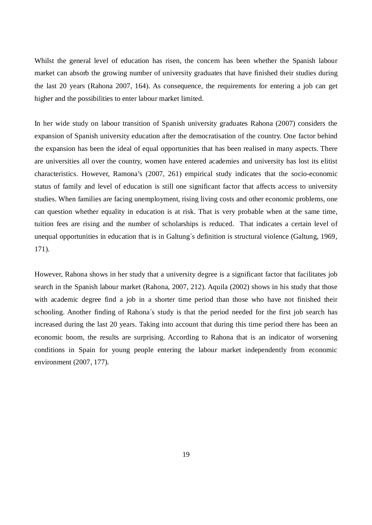Whilst the general level of education has risen, the concern has been whether the Spanish labour market can absorb the growing number of university graduates that have finished their studies during the last 20 years (Rahona 2007, 164). As consequence, the requirements for entering a job can get higher and the possibilities to enter labour market limited.

In her wide study on labour transition of Spanish university graduates Rahona (2007) considers the expansion of Spanish university education after the democratisation of the country. One factor behind the expansion has been the ideal of equal opportunities that has been realised in many aspects. There are universities all over the country, women have entered academies and university has lost its elitist characteristics. However, Ramona's (2007, 261) empirical study indicates that the socio-economic status of family and level of education is still one significant factor that affects access to university studies. When families are facing unemployment, rising living costs and other economic problems, one can question whether equality in education is at risk. That is very probable when at the same time, tuition fees are rising and the number of scholarships is reduced. That indicates a certain level of unequal opportunities in education that is in Galtung´s definition is structural violence (Galtung, 1969, 171).

However, Rahona shows in her study that a university degree is a significant factor that facilitates job search in the Spanish labour market (Rahona, 2007, 212). Aquila (2002) shows in his study that those with academic degree find a job in a shorter time period than those who have not finished their schooling. Another finding of Rahona´s study is that the period needed for the first job search has increased during the last 20 years. Taking into account that during this time period there has been an economic boom, the results are surprising. According to Rahona that is an indicator of worsening conditions in Spain for young people entering the labour market independently from economic environment (2007, 177).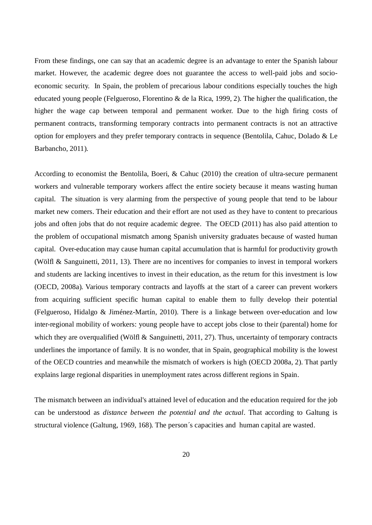From these findings, one can say that an academic degree is an advantage to enter the Spanish labour market. However, the academic degree does not guarantee the access to well-paid jobs and socioeconomic security. In Spain, the problem of precarious labour conditions especially touches the high educated young people (Felgueroso, Florentino & de la Rica, 1999, 2). The higher the qualification, the higher the wage cap between temporal and permanent worker. Due to the high firing costs of permanent contracts, transforming temporary contracts into permanent contracts is not an attractive option for employers and they prefer temporary contracts in sequence (Bentolila, Cahuc, Dolado & Le Barbancho, 2011).

According to economist the Bentolila, Boeri, & Cahuc (2010) the creation of ultra-secure permanent workers and vulnerable temporary workers affect the entire society because it means wasting human capital. The situation is very alarming from the perspective of young people that tend to be labour market new comers. Their education and their effort are not used as they have to content to precarious jobs and often jobs that do not require academic degree. The OECD (2011) has also paid attention to the problem of occupational mismatch among Spanish university graduates because of wasted human capital. Over-education may cause human capital accumulation that is harmful for productivity growth (Wölfl & Sanguinetti, 2011, 13). There are no incentives for companies to invest in temporal workers and students are lacking incentives to invest in their education, as the return for this investment is low (OECD, 2008a). Various temporary contracts and layoffs at the start of a career can prevent workers from acquiring sufficient specific human capital to enable them to fully develop their potential (Felgueroso, Hidalgo & Jiménez-Martín, 2010). There is a linkage between over-education and low inter-regional mobility of workers: young people have to accept jobs close to their (parental) home for which they are overqualified (Wölfl & Sanguinetti, 2011, 27). Thus, uncertainty of temporary contracts underlines the importance of family. It is no wonder, that in Spain, geographical mobility is the lowest of the OECD countries and meanwhile the mismatch of workers is high (OECD 2008a, 2). That partly explains large regional disparities in unemployment rates across different regions in Spain.

The mismatch between an individual's attained level of education and the education required for the job can be understood as *distance between the potential and the actual*. That according to Galtung is structural violence (Galtung, 1969, 168). The person´s capacities and human capital are wasted.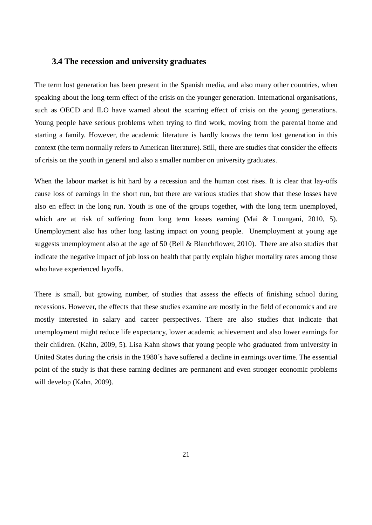### **3.4 The recession and university graduates**

The term lost generation has been present in the Spanish media, and also many other countries, when speaking about the long-term effect of the crisis on the younger generation. International organisations, such as OECD and ILO have warned about the scarring effect of crisis on the young generations. Young people have serious problems when trying to find work, moving from the parental home and starting a family. However, the academic literature is hardly knows the term lost generation in this context (the term normally refers to American literature). Still, there are studies that consider the effects of crisis on the youth in general and also a smaller number on university graduates.

When the labour market is hit hard by a recession and the human cost rises. It is clear that lay-offs cause loss of earnings in the short run, but there are various studies that show that these losses have also en effect in the long run. Youth is one of the groups together, with the long term unemployed, which are at risk of suffering from long term losses earning (Mai & Loungani, 2010, 5). Unemployment also has other long lasting impact on young people. Unemployment at young age suggests unemployment also at the age of 50 (Bell & Blanchflower, 2010). There are also studies that indicate the negative impact of job loss on health that partly explain higher mortality rates among those who have experienced layoffs.

There is small, but growing number, of studies that assess the effects of finishing school during recessions. However, the effects that these studies examine are mostly in the field of economics and are mostly interested in salary and career perspectives. There are also studies that indicate that unemployment might reduce life expectancy, lower academic achievement and also lower earnings for their children. (Kahn, 2009, 5). Lisa Kahn shows that young people who graduated from university in United States during the crisis in the 1980´s have suffered a decline in earnings over time. The essential point of the study is that these earning declines are permanent and even stronger economic problems will develop (Kahn, 2009).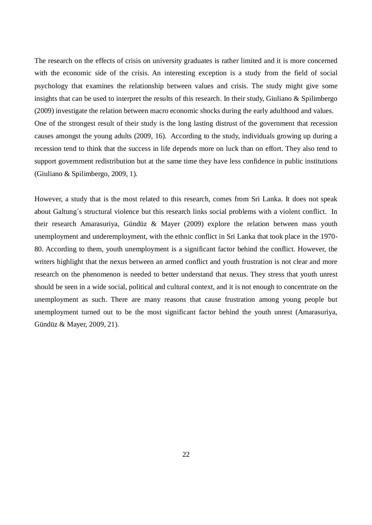The research on the effects of crisis on university graduates is rather limited and it is more concerned with the economic side of the crisis. An interesting exception is a study from the field of social psychology that examines the relationship between values and crisis. The study might give some insights that can be used to interpret the results of this research. In their study, Giuliano & Spilimbergo (2009) investigate the relation between macro economic shocks during the early adulthood and values. One of the strongest result of their study is the long lasting distrust of the government that recession causes amongst the young adults (2009, 16). According to the study, individuals growing up during a recession tend to think that the success in life depends more on luck than on effort. They also tend to support government redistribution but at the same time they have less confidence in public institutions (Giuliano & Spilimbergo, 2009, 1).

However, a study that is the most related to this research, comes from Sri Lanka. It does not speak about Galtung´s structural violence but this research links social problems with a violent conflict. In their research Amarasuriya, Gündüz & Mayer (2009) explore the relation between mass youth unemployment and underemployment, with the ethnic conflict in Sri Lanka that took place in the 1970- 80. According to them, youth unemployment is a significant factor behind the conflict. However, the writers highlight that the nexus between an armed conflict and youth frustration is not clear and more research on the phenomenon is needed to better understand that nexus. They stress that youth unrest should be seen in a wide social, political and cultural context, and it is not enough to concentrate on the unemployment as such. There are many reasons that cause frustration among young people but unemployment turned out to be the most significant factor behind the youth unrest (Amarasuriya, Gündüz & Mayer, 2009, 21).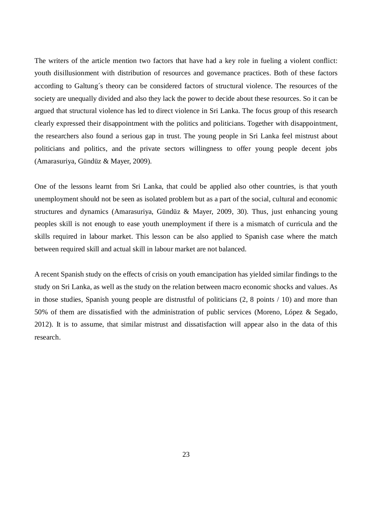The writers of the article mention two factors that have had a key role in fueling a violent conflict: youth disillusionment with distribution of resources and governance practices. Both of these factors according to Galtung´s theory can be considered factors of structural violence. The resources of the society are unequally divided and also they lack the power to decide about these resources. So it can be argued that structural violence has led to direct violence in Sri Lanka. The focus group of this research clearly expressed their disappointment with the politics and politicians. Together with disappointment, the researchers also found a serious gap in trust. The young people in Sri Lanka feel mistrust about politicians and politics, and the private sectors willingness to offer young people decent jobs (Amarasuriya, Gündüz & Mayer, 2009).

One of the lessons learnt from Sri Lanka, that could be applied also other countries, is that youth unemployment should not be seen as isolated problem but as a part of the social, cultural and economic structures and dynamics (Amarasuriya, Gündüz & Mayer, 2009, 30). Thus, just enhancing young peoples skill is not enough to ease youth unemployment if there is a mismatch of curricula and the skills required in labour market. This lesson can be also applied to Spanish case where the match between required skill and actual skill in labour market are not balanced.

A recent Spanish study on the effects of crisis on youth emancipation has yielded similar findings to the study on Sri Lanka, as well as the study on the relation between macro economic shocks and values. As in those studies, Spanish young people are distrustful of politicians (2, 8 points / 10) and more than 50% of them are dissatisfied with the administration of public services (Moreno, López & Segado, 2012). It is to assume, that similar mistrust and dissatisfaction will appear also in the data of this research.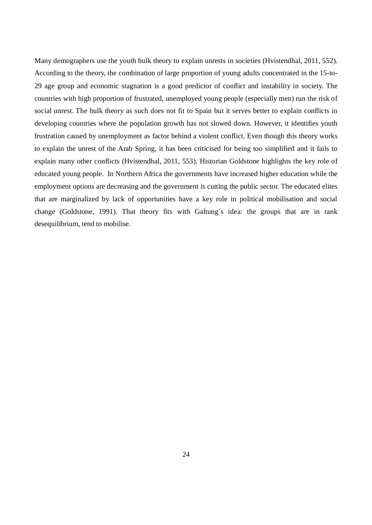Many demographers use the youth bulk theory to explain unrests in societies (Hvistendhal, 2011, 552). According to the theory, the combination of large proportion of young adults concentrated in the 15-to-29 age group and economic stagnation is a good predictor of conflict and instability in society. The countries with high proportion of frustrated, unemployed young people (especially men) run the risk of social unrest. The bulk theory as such does not fit to Spain but it serves better to explain conflicts in developing countries where the population growth has not slowed down. However, it identifies youth frustration caused by unemployment as factor behind a violent conflict. Even though this theory works to explain the unrest of the Arab Spring, it has been criticised for being too simplified and it fails to explain many other conflicts (Hvistendhal, 2011, 553). Historian Goldstone highlights the key role of educated young people. In Northern Africa the governments have increased higher education while the employment options are decreasing and the government is cutting the public sector. The educated elites that are marginalized by lack of opportunities have a key role in political mobilisation and social change (Goldstone, 1991). That theory fits with Galtung´s idea: the groups that are in rank desequilibrium, tend to mobilise.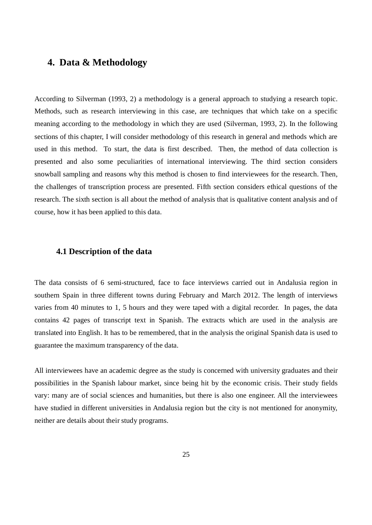### **4. Data & Methodology**

According to Silverman (1993, 2) a methodology is a general approach to studying a research topic. Methods, such as research interviewing in this case, are techniques that which take on a specific meaning according to the methodology in which they are used (Silverman, 1993, 2). In the following sections of this chapter, I will consider methodology of this research in general and methods which are used in this method. To start, the data is first described. Then, the method of data collection is presented and also some peculiarities of international interviewing. The third section considers snowball sampling and reasons why this method is chosen to find interviewees for the research. Then, the challenges of transcription process are presented. Fifth section considers ethical questions of the research. The sixth section is all about the method of analysis that is qualitative content analysis and of course, how it has been applied to this data.

#### **4.1 Description of the data**

The data consists of 6 semi-structured, face to face interviews carried out in Andalusia region in southern Spain in three different towns during February and March 2012. The length of interviews varies from 40 minutes to 1, 5 hours and they were taped with a digital recorder. In pages, the data contains 42 pages of transcript text in Spanish. The extracts which are used in the analysis are translated into English. It has to be remembered, that in the analysis the original Spanish data is used to guarantee the maximum transparency of the data.

All interviewees have an academic degree as the study is concerned with university graduates and their possibilities in the Spanish labour market, since being hit by the economic crisis. Their study fields vary: many are of social sciences and humanities, but there is also one engineer. All the interviewees have studied in different universities in Andalusia region but the city is not mentioned for anonymity, neither are details about their study programs.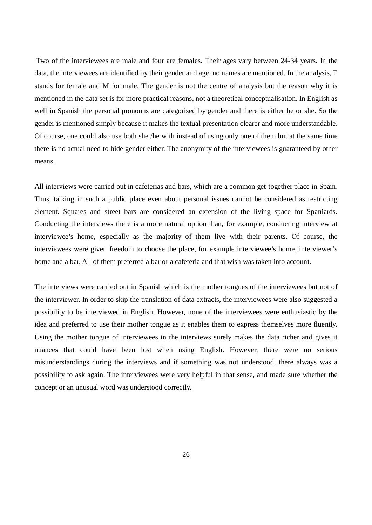Two of the interviewees are male and four are females. Their ages vary between 24-34 years. In the data, the interviewees are identified by their gender and age, no names are mentioned. In the analysis, F stands for female and M for male. The gender is not the centre of analysis but the reason why it is mentioned in the data set is for more practical reasons, not a theoretical conceptualisation. In English as well in Spanish the personal pronouns are categorised by gender and there is either he or she. So the gender is mentioned simply because it makes the textual presentation clearer and more understandable. Of course, one could also use both she /he with instead of using only one of them but at the same time there is no actual need to hide gender either. The anonymity of the interviewees is guaranteed by other means.

All interviews were carried out in cafeterias and bars, which are a common get-together place in Spain. Thus, talking in such a public place even about personal issues cannot be considered as restricting element. Squares and street bars are considered an extension of the living space for Spaniards. Conducting the interviews there is a more natural option than, for example, conducting interview at interviewee's home, especially as the majority of them live with their parents. Of course, the interviewees were given freedom to choose the place, for example interviewee's home, interviewer's home and a bar. All of them preferred a bar or a cafeteria and that wish was taken into account.

The interviews were carried out in Spanish which is the mother tongues of the interviewees but not of the interviewer. In order to skip the translation of data extracts, the interviewees were also suggested a possibility to be interviewed in English. However, none of the interviewees were enthusiastic by the idea and preferred to use their mother tongue as it enables them to express themselves more fluently. Using the mother tongue of interviewees in the interviews surely makes the data richer and gives it nuances that could have been lost when using English. However, there were no serious misunderstandings during the interviews and if something was not understood, there always was a possibility to ask again. The interviewees were very helpful in that sense, and made sure whether the concept or an unusual word was understood correctly.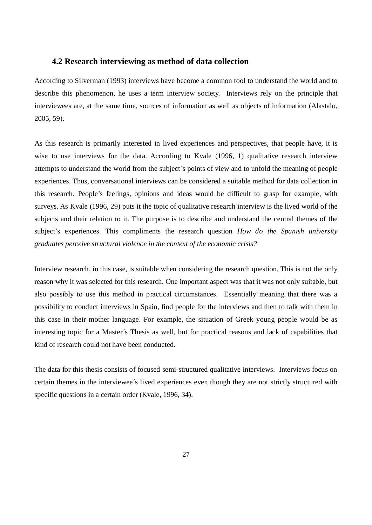#### **4.2 Research interviewing as method of data collection**

According to Silverman (1993) interviews have become a common tool to understand the world and to describe this phenomenon, he uses a term interview society. Interviews rely on the principle that interviewees are, at the same time, sources of information as well as objects of information (Alastalo, 2005, 59).

As this research is primarily interested in lived experiences and perspectives, that people have, it is wise to use interviews for the data. According to Kvale (1996, 1) qualitative research interview attempts to understand the world from the subject´s points of view and to unfold the meaning of people experiences. Thus, conversational interviews can be considered a suitable method for data collection in this research. People's feelings, opinions and ideas would be difficult to grasp for example, with surveys. As Kvale (1996, 29) puts it the topic of qualitative research interview is the lived world of the subjects and their relation to it. The purpose is to describe and understand the central themes of the subject's experiences. This compliments the research question *How do the Spanish university graduates perceive structural violence in the context of the economic crisis?*

Interview research, in this case, is suitable when considering the research question. This is not the only reason why it was selected for this research. One important aspect was that it was not only suitable, but also possibly to use this method in practical circumstances. Essentially meaning that there was a possibility to conduct interviews in Spain, find people for the interviews and then to talk with them in this case in their mother language. For example, the situation of Greek young people would be as interesting topic for a Master´s Thesis as well, but for practical reasons and lack of capabilities that kind of research could not have been conducted.

The data for this thesis consists of focused semi-structured qualitative interviews. Interviews focus on certain themes in the interviewee´s lived experiences even though they are not strictly structured with specific questions in a certain order (Kvale, 1996, 34).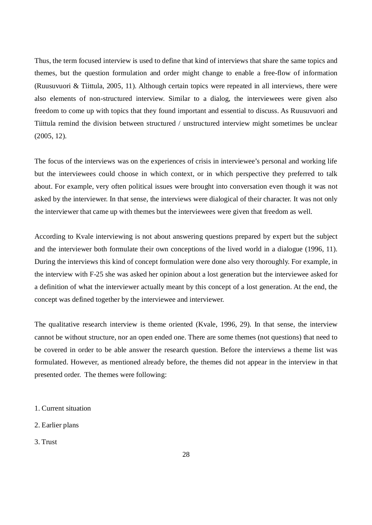Thus, the term focused interview is used to define that kind of interviews that share the same topics and themes, but the question formulation and order might change to enable a free-flow of information (Ruusuvuori & Tiittula, 2005, 11). Although certain topics were repeated in all interviews, there were also elements of non-structured interview. Similar to a dialog, the interviewees were given also freedom to come up with topics that they found important and essential to discuss. As Ruusuvuori and Tiittula remind the division between structured / unstructured interview might sometimes be unclear (2005, 12).

The focus of the interviews was on the experiences of crisis in interviewee's personal and working life but the interviewees could choose in which context, or in which perspective they preferred to talk about. For example, very often political issues were brought into conversation even though it was not asked by the interviewer. In that sense, the interviews were dialogical of their character. It was not only the interviewer that came up with themes but the interviewees were given that freedom as well.

According to Kvale interviewing is not about answering questions prepared by expert but the subject and the interviewer both formulate their own conceptions of the lived world in a dialogue (1996, 11). During the interviews this kind of concept formulation were done also very thoroughly. For example, in the interview with F-25 she was asked her opinion about a lost generation but the interviewee asked for a definition of what the interviewer actually meant by this concept of a lost generation. At the end, the concept was defined together by the interviewee and interviewer.

The qualitative research interview is theme oriented (Kvale, 1996, 29). In that sense, the interview cannot be without structure, nor an open ended one. There are some themes (not questions) that need to be covered in order to be able answer the research question. Before the interviews a theme list was formulated. However, as mentioned already before, the themes did not appear in the interview in that presented order. The themes were following:

- 1. Current situation
- 2. Earlier plans
- 3. Trust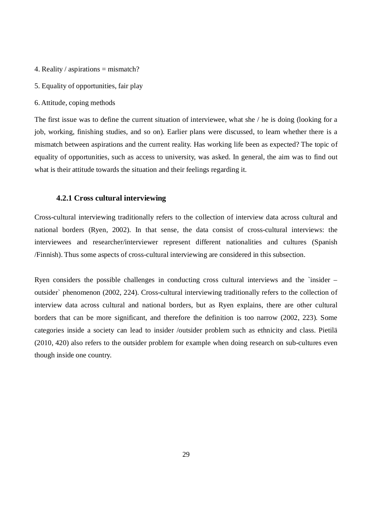- 4. Reality / aspirations = mismatch?
- 5. Equality of opportunities, fair play
- 6. Attitude, coping methods

The first issue was to define the current situation of interviewee, what she / he is doing (looking for a job, working, finishing studies, and so on). Earlier plans were discussed, to learn whether there is a mismatch between aspirations and the current reality. Has working life been as expected? The topic of equality of opportunities, such as access to university, was asked. In general, the aim was to find out what is their attitude towards the situation and their feelings regarding it.

#### **4.2.1 Cross cultural interviewing**

Cross-cultural interviewing traditionally refers to the collection of interview data across cultural and national borders (Ryen, 2002). In that sense, the data consist of cross-cultural interviews: the interviewees and researcher/interviewer represent different nationalities and cultures (Spanish /Finnish). Thus some aspects of cross-cultural interviewing are considered in this subsection.

Ryen considers the possible challenges in conducting cross cultural interviews and the `insider – outsider` phenomenon (2002, 224). Cross-cultural interviewing traditionally refers to the collection of interview data across cultural and national borders, but as Ryen explains, there are other cultural borders that can be more significant, and therefore the definition is too narrow (2002, 223). Some categories inside a society can lead to insider /outsider problem such as ethnicity and class. Pietilä (2010, 420) also refers to the outsider problem for example when doing research on sub-cultures even though inside one country.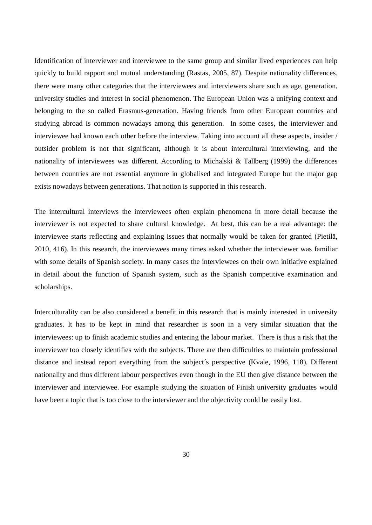Identification of interviewer and interviewee to the same group and similar lived experiences can help quickly to build rapport and mutual understanding (Rastas, 2005, 87). Despite nationality differences, there were many other categories that the interviewees and interviewers share such as age, generation, university studies and interest in social phenomenon. The European Union was a unifying context and belonging to the so called Erasmus-generation. Having friends from other European countries and studying abroad is common nowadays among this generation. In some cases, the interviewer and interviewee had known each other before the interview. Taking into account all these aspects, insider / outsider problem is not that significant, although it is about intercultural interviewing, and the nationality of interviewees was different. According to Michalski & Tallberg (1999) the differences between countries are not essential anymore in globalised and integrated Europe but the major gap exists nowadays between generations. That notion is supported in this research.

The intercultural interviews the interviewees often explain phenomena in more detail because the interviewer is not expected to share cultural knowledge. At best, this can be a real advantage: the interviewee starts reflecting and explaining issues that normally would be taken for granted (Pietilä, 2010, 416). In this research, the interviewees many times asked whether the interviewer was familiar with some details of Spanish society. In many cases the interviewees on their own initiative explained in detail about the function of Spanish system, such as the Spanish competitive examination and scholarships.

Interculturality can be also considered a benefit in this research that is mainly interested in university graduates. It has to be kept in mind that researcher is soon in a very similar situation that the interviewees: up to finish academic studies and entering the labour market. There is thus a risk that the interviewer too closely identifies with the subjects. There are then difficulties to maintain professional distance and instead report everything from the subject´s perspective (Kvale, 1996, 118). Different nationality and thus different labour perspectives even though in the EU then give distance between the interviewer and interviewee. For example studying the situation of Finish university graduates would have been a topic that is too close to the interviewer and the objectivity could be easily lost.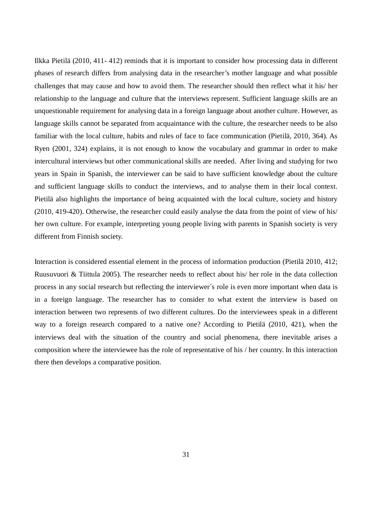Ilkka Pietilä (2010, 411- 412) reminds that it is important to consider how processing data in different phases of research differs from analysing data in the researcher's mother language and what possible challenges that may cause and how to avoid them. The researcher should then reflect what it his/ her relationship to the language and culture that the interviews represent. Sufficient language skills are an unquestionable requirement for analysing data in a foreign language about another culture. However, as language skills cannot be separated from acquaintance with the culture, the researcher needs to be also familiar with the local culture, habits and rules of face to face communication (Pietilä, 2010, 364). As Ryen (2001, 324) explains, it is not enough to know the vocabulary and grammar in order to make intercultural interviews but other communicational skills are needed. After living and studying for two years in Spain in Spanish, the interviewer can be said to have sufficient knowledge about the culture and sufficient language skills to conduct the interviews, and to analyse them in their local context. Pietilä also highlights the importance of being acquainted with the local culture, society and history (2010, 419-420). Otherwise, the researcher could easily analyse the data from the point of view of his/ her own culture. For example, interpreting young people living with parents in Spanish society is very different from Finnish society.

Interaction is considered essential element in the process of information production (Pietilä 2010, 412; Ruusuvuori & Tiittula 2005). The researcher needs to reflect about his/ her role in the data collection process in any social research but reflecting the interviewer´s role is even more important when data is in a foreign language. The researcher has to consider to what extent the interview is based on interaction between two represents of two different cultures. Do the interviewees speak in a different way to a foreign research compared to a native one? According to Pietilä (2010, 421), when the interviews deal with the situation of the country and social phenomena, there inevitable arises a composition where the interviewee has the role of representative of his / her country. In this interaction there then develops a comparative position.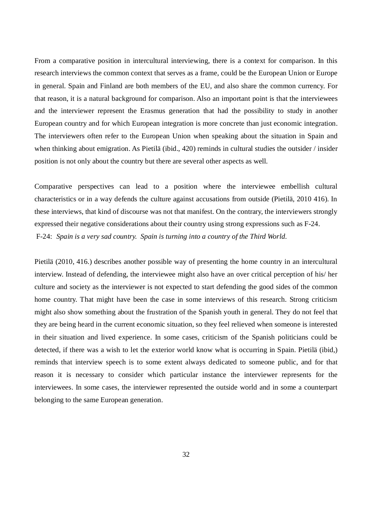From a comparative position in intercultural interviewing, there is a context for comparison. In this research interviews the common context that serves as a frame, could be the European Union or Europe in general. Spain and Finland are both members of the EU, and also share the common currency. For that reason, it is a natural background for comparison. Also an important point is that the interviewees and the interviewer represent the Erasmus generation that had the possibility to study in another European country and for which European integration is more concrete than just economic integration. The interviewers often refer to the European Union when speaking about the situation in Spain and when thinking about emigration. As Pietilä (ibid., 420) reminds in cultural studies the outsider / insider position is not only about the country but there are several other aspects as well.

Comparative perspectives can lead to a position where the interviewee embellish cultural characteristics or in a way defends the culture against accusations from outside (Pietilä, 2010 416). In these interviews, that kind of discourse was not that manifest. On the contrary, the interviewers strongly expressed their negative considerations about their country using strong expressions such as F-24. F-24: *Spain is a very sad country. Spain is turning into a country of the Third World.* 

Pietilä (2010, 416.) describes another possible way of presenting the home country in an intercultural interview. Instead of defending, the interviewee might also have an over critical perception of his/ her culture and society as the interviewer is not expected to start defending the good sides of the common home country. That might have been the case in some interviews of this research. Strong criticism might also show something about the frustration of the Spanish youth in general. They do not feel that they are being heard in the current economic situation, so they feel relieved when someone is interested in their situation and lived experience. In some cases, criticism of the Spanish politicians could be detected, if there was a wish to let the exterior world know what is occurring in Spain. Pietilä (ibid,) reminds that interview speech is to some extent always dedicated to someone public, and for that reason it is necessary to consider which particular instance the interviewer represents for the interviewees. In some cases, the interviewer represented the outside world and in some a counterpart belonging to the same European generation.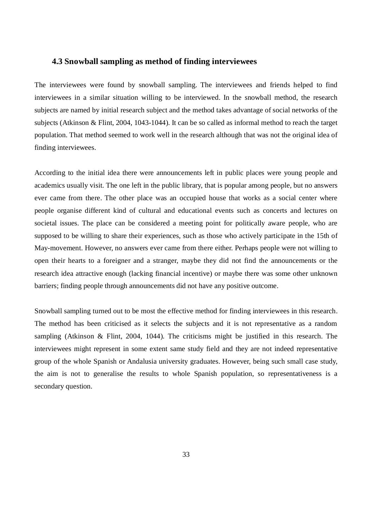### **4.3 Snowball sampling as method of finding interviewees**

The interviewees were found by snowball sampling. The interviewees and friends helped to find interviewees in a similar situation willing to be interviewed. In the snowball method, the research subjects are named by initial research subject and the method takes advantage of social networks of the subjects (Atkinson & Flint, 2004, 1043-1044). It can be so called as informal method to reach the target population. That method seemed to work well in the research although that was not the original idea of finding interviewees.

According to the initial idea there were announcements left in public places were young people and academics usually visit. The one left in the public library, that is popular among people, but no answers ever came from there. The other place was an occupied house that works as a social center where people organise different kind of cultural and educational events such as concerts and lectures on societal issues. The place can be considered a meeting point for politically aware people, who are supposed to be willing to share their experiences, such as those who actively participate in the 15th of May-movement. However, no answers ever came from there either. Perhaps people were not willing to open their hearts to a foreigner and a stranger, maybe they did not find the announcements or the research idea attractive enough (lacking financial incentive) or maybe there was some other unknown barriers; finding people through announcements did not have any positive outcome.

Snowball sampling turned out to be most the effective method for finding interviewees in this research. The method has been criticised as it selects the subjects and it is not representative as a random sampling (Atkinson & Flint, 2004, 1044). The criticisms might be justified in this research. The interviewees might represent in some extent same study field and they are not indeed representative group of the whole Spanish or Andalusia university graduates. However, being such small case study, the aim is not to generalise the results to whole Spanish population, so representativeness is a secondary question.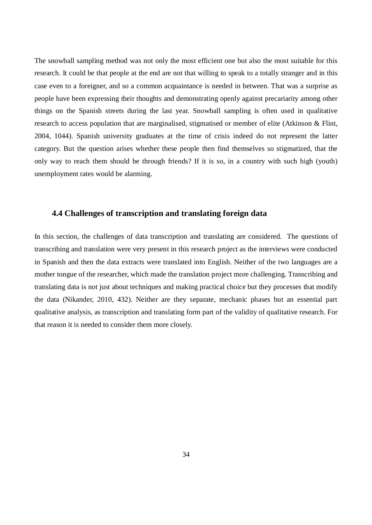The snowball sampling method was not only the most efficient one but also the most suitable for this research. It could be that people at the end are not that willing to speak to a totally stranger and in this case even to a foreigner, and so a common acquaintance is needed in between. That was a surprise as people have been expressing their thoughts and demonstrating openly against precariarity among other things on the Spanish streets during the last year. Snowball sampling is often used in qualitative research to access population that are marginalised, stigmatised or member of elite (Atkinson & Flint, 2004, 1044). Spanish university graduates at the time of crisis indeed do not represent the latter category. But the question arises whether these people then find themselves so stigmatized, that the only way to reach them should be through friends? If it is so, in a country with such high (youth) unemployment rates would be alarming.

## **4.4 Challenges of transcription and translating foreign data**

In this section, the challenges of data transcription and translating are considered. The questions of transcribing and translation were very present in this research project as the interviews were conducted in Spanish and then the data extracts were translated into English. Neither of the two languages are a mother tongue of the researcher, which made the translation project more challenging. Transcribing and translating data is not just about techniques and making practical choice but they processes that modify the data (Nikander, 2010, 432). Neither are they separate, mechanic phases but an essential part qualitative analysis, as transcription and translating form part of the validity of qualitative research. For that reason it is needed to consider them more closely.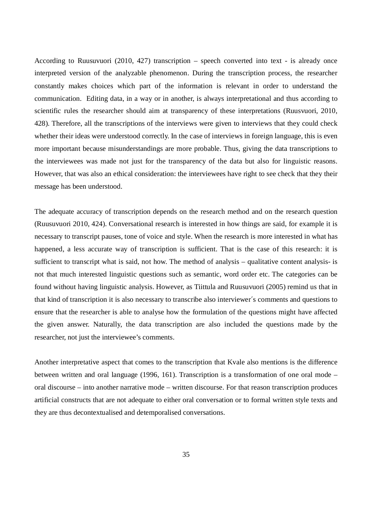According to Ruusuvuori (2010, 427) transcription – speech converted into text - is already once interpreted version of the analyzable phenomenon. During the transcription process, the researcher constantly makes choices which part of the information is relevant in order to understand the communication. Editing data, in a way or in another, is always interpretational and thus according to scientific rules the researcher should aim at transparency of these interpretations (Ruusvuori, 2010, 428). Therefore, all the transcriptions of the interviews were given to interviews that they could check whether their ideas were understood correctly. In the case of interviews in foreign language, this is even more important because misunderstandings are more probable. Thus, giving the data transcriptions to the interviewees was made not just for the transparency of the data but also for linguistic reasons. However, that was also an ethical consideration: the interviewees have right to see check that they their message has been understood.

The adequate accuracy of transcription depends on the research method and on the research question (Ruusuvuori 2010, 424). Conversational research is interested in how things are said, for example it is necessary to transcript pauses, tone of voice and style. When the research is more interested in what has happened, a less accurate way of transcription is sufficient. That is the case of this research: it is sufficient to transcript what is said, not how. The method of analysis – qualitative content analysis- is not that much interested linguistic questions such as semantic, word order etc. The categories can be found without having linguistic analysis. However, as Tiittula and Ruusuvuori (2005) remind us that in that kind of transcription it is also necessary to transcribe also interviewer´s comments and questions to ensure that the researcher is able to analyse how the formulation of the questions might have affected the given answer. Naturally, the data transcription are also included the questions made by the researcher, not just the interviewee's comments.

Another interpretative aspect that comes to the transcription that Kvale also mentions is the difference between written and oral language (1996, 161). Transcription is a transformation of one oral mode – oral discourse – into another narrative mode – written discourse. For that reason transcription produces artificial constructs that are not adequate to either oral conversation or to formal written style texts and they are thus decontextualised and detemporalised conversations.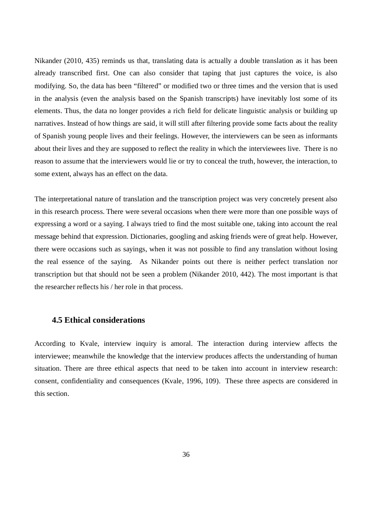Nikander (2010, 435) reminds us that, translating data is actually a double translation as it has been already transcribed first. One can also consider that taping that just captures the voice, is also modifying. So, the data has been "filtered" or modified two or three times and the version that is used in the analysis (even the analysis based on the Spanish transcripts) have inevitably lost some of its elements. Thus, the data no longer provides a rich field for delicate linguistic analysis or building up narratives. Instead of how things are said, it will still after filtering provide some facts about the reality of Spanish young people lives and their feelings. However, the interviewers can be seen as informants about their lives and they are supposed to reflect the reality in which the interviewees live. There is no reason to assume that the interviewers would lie or try to conceal the truth, however, the interaction, to some extent, always has an effect on the data.

The interpretational nature of translation and the transcription project was very concretely present also in this research process. There were several occasions when there were more than one possible ways of expressing a word or a saying. I always tried to find the most suitable one, taking into account the real message behind that expression. Dictionaries, googling and asking friends were of great help. However, there were occasions such as sayings, when it was not possible to find any translation without losing the real essence of the saying. As Nikander points out there is neither perfect translation nor transcription but that should not be seen a problem (Nikander 2010, 442). The most important is that the researcher reflects his / her role in that process.

### **4.5 Ethical considerations**

According to Kvale, interview inquiry is amoral. The interaction during interview affects the interviewee; meanwhile the knowledge that the interview produces affects the understanding of human situation. There are three ethical aspects that need to be taken into account in interview research: consent, confidentiality and consequences (Kvale, 1996, 109). These three aspects are considered in this section.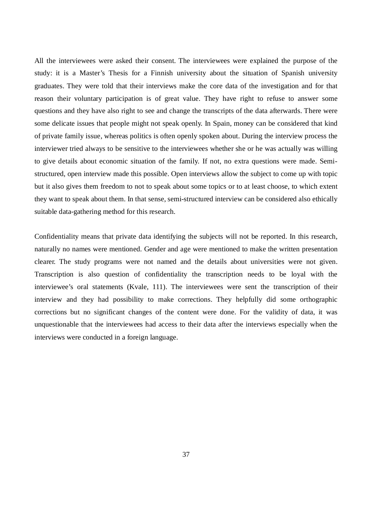All the interviewees were asked their consent. The interviewees were explained the purpose of the study: it is a Master's Thesis for a Finnish university about the situation of Spanish university graduates. They were told that their interviews make the core data of the investigation and for that reason their voluntary participation is of great value. They have right to refuse to answer some questions and they have also right to see and change the transcripts of the data afterwards. There were some delicate issues that people might not speak openly. In Spain, money can be considered that kind of private family issue, whereas politics is often openly spoken about. During the interview process the interviewer tried always to be sensitive to the interviewees whether she or he was actually was willing to give details about economic situation of the family. If not, no extra questions were made. Semistructured, open interview made this possible. Open interviews allow the subject to come up with topic but it also gives them freedom to not to speak about some topics or to at least choose, to which extent they want to speak about them. In that sense, semi-structured interview can be considered also ethically suitable data-gathering method for this research.

Confidentiality means that private data identifying the subjects will not be reported. In this research, naturally no names were mentioned. Gender and age were mentioned to make the written presentation clearer. The study programs were not named and the details about universities were not given. Transcription is also question of confidentiality the transcription needs to be loyal with the interviewee's oral statements (Kvale, 111). The interviewees were sent the transcription of their interview and they had possibility to make corrections. They helpfully did some orthographic corrections but no significant changes of the content were done. For the validity of data, it was unquestionable that the interviewees had access to their data after the interviews especially when the interviews were conducted in a foreign language.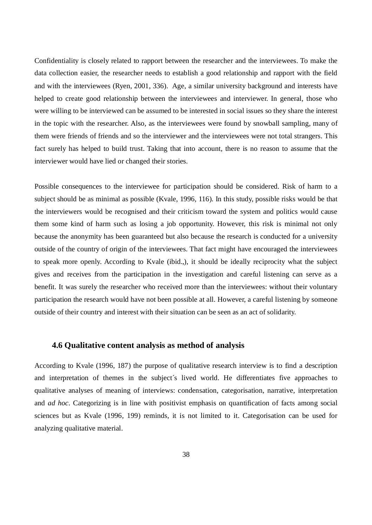Confidentiality is closely related to rapport between the researcher and the interviewees. To make the data collection easier, the researcher needs to establish a good relationship and rapport with the field and with the interviewees (Ryen, 2001, 336). Age, a similar university background and interests have helped to create good relationship between the interviewees and interviewer. In general, those who were willing to be interviewed can be assumed to be interested in social issues so they share the interest in the topic with the researcher. Also, as the interviewees were found by snowball sampling, many of them were friends of friends and so the interviewer and the interviewees were not total strangers. This fact surely has helped to build trust. Taking that into account, there is no reason to assume that the interviewer would have lied or changed their stories.

Possible consequences to the interviewee for participation should be considered. Risk of harm to a subject should be as minimal as possible (Kvale, 1996, 116). In this study, possible risks would be that the interviewers would be recognised and their criticism toward the system and politics would cause them some kind of harm such as losing a job opportunity. However, this risk is minimal not only because the anonymity has been guaranteed but also because the research is conducted for a university outside of the country of origin of the interviewees. That fact might have encouraged the interviewees to speak more openly. According to Kvale (ibid.,), it should be ideally reciprocity what the subject gives and receives from the participation in the investigation and careful listening can serve as a benefit. It was surely the researcher who received more than the interviewees: without their voluntary participation the research would have not been possible at all. However, a careful listening by someone outside of their country and interest with their situation can be seen as an act of solidarity.

# **4.6 Qualitative content analysis as method of analysis**

According to Kvale (1996, 187) the purpose of qualitative research interview is to find a description and interpretation of themes in the subject´s lived world. He differentiates five approaches to qualitative analyses of meaning of interviews: condensation, categorisation, narrative, interpretation and *ad hoc*. Categorizing is in line with positivist emphasis on quantification of facts among social sciences but as Kvale (1996, 199) reminds, it is not limited to it. Categorisation can be used for analyzing qualitative material.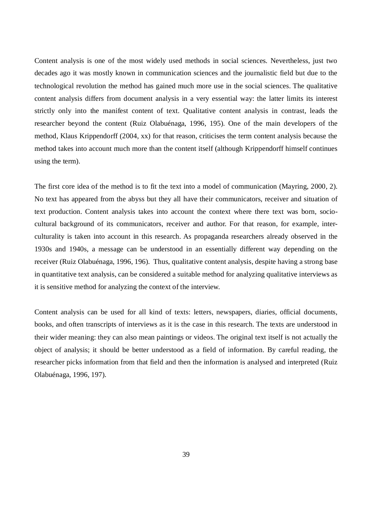Content analysis is one of the most widely used methods in social sciences. Nevertheless, just two decades ago it was mostly known in communication sciences and the journalistic field but due to the technological revolution the method has gained much more use in the social sciences. The qualitative content analysis differs from document analysis in a very essential way: the latter limits its interest strictly only into the manifest content of text. Qualitative content analysis in contrast, leads the researcher beyond the content (Ruiz Olabuénaga, 1996, 195). One of the main developers of the method, Klaus Krippendorff (2004, xx) for that reason, criticises the term content analysis because the method takes into account much more than the content itself (although Krippendorff himself continues using the term).

The first core idea of the method is to fit the text into a model of communication (Mayring, 2000, 2). No text has appeared from the abyss but they all have their communicators, receiver and situation of text production. Content analysis takes into account the context where there text was born, sociocultural background of its communicators, receiver and author. For that reason, for example, interculturality is taken into account in this research. As propaganda researchers already observed in the 1930s and 1940s, a message can be understood in an essentially different way depending on the receiver (Ruiz Olabuénaga, 1996, 196). Thus, qualitative content analysis, despite having a strong base in quantitative text analysis, can be considered a suitable method for analyzing qualitative interviews as it is sensitive method for analyzing the context of the interview.

Content analysis can be used for all kind of texts: letters, newspapers, diaries, official documents, books, and often transcripts of interviews as it is the case in this research. The texts are understood in their wider meaning: they can also mean paintings or videos. The original text itself is not actually the object of analysis; it should be better understood as a field of information. By careful reading, the researcher picks information from that field and then the information is analysed and interpreted (Ruiz Olabuénaga, 1996, 197).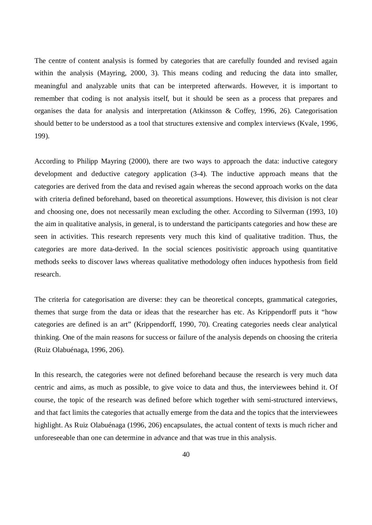The centre of content analysis is formed by categories that are carefully founded and revised again within the analysis (Mayring, 2000, 3). This means coding and reducing the data into smaller, meaningful and analyzable units that can be interpreted afterwards. However, it is important to remember that coding is not analysis itself, but it should be seen as a process that prepares and organises the data for analysis and interpretation (Atkinsson & Coffey, 1996, 26). Categorisation should better to be understood as a tool that structures extensive and complex interviews (Kvale, 1996, 199).

According to Philipp Mayring (2000), there are two ways to approach the data: inductive category development and deductive category application (3-4). The inductive approach means that the categories are derived from the data and revised again whereas the second approach works on the data with criteria defined beforehand, based on theoretical assumptions. However, this division is not clear and choosing one, does not necessarily mean excluding the other. According to Silverman (1993, 10) the aim in qualitative analysis, in general, is to understand the participants categories and how these are seen in activities. This research represents very much this kind of qualitative tradition. Thus, the categories are more data-derived. In the social sciences positivistic approach using quantitative methods seeks to discover laws whereas qualitative methodology often induces hypothesis from field research.

The criteria for categorisation are diverse: they can be theoretical concepts, grammatical categories, themes that surge from the data or ideas that the researcher has etc. As Krippendorff puts it "how categories are defined is an art" (Krippendorff, 1990, 70). Creating categories needs clear analytical thinking. One of the main reasons for success or failure of the analysis depends on choosing the criteria (Ruiz Olabuénaga, 1996, 206).

In this research, the categories were not defined beforehand because the research is very much data centric and aims, as much as possible, to give voice to data and thus, the interviewees behind it. Of course, the topic of the research was defined before which together with semi-structured interviews, and that fact limits the categories that actually emerge from the data and the topics that the interviewees highlight. As Ruiz Olabuénaga (1996, 206) encapsulates, the actual content of texts is much richer and unforeseeable than one can determine in advance and that was true in this analysis.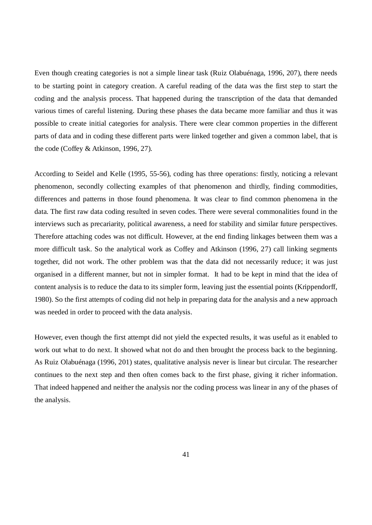Even though creating categories is not a simple linear task (Ruiz Olabuénaga, 1996, 207), there needs to be starting point in category creation. A careful reading of the data was the first step to start the coding and the analysis process. That happened during the transcription of the data that demanded various times of careful listening. During these phases the data became more familiar and thus it was possible to create initial categories for analysis. There were clear common properties in the different parts of data and in coding these different parts were linked together and given a common label, that is the code (Coffey & Atkinson, 1996, 27).

According to Seidel and Kelle (1995, 55-56), coding has three operations: firstly, noticing a relevant phenomenon, secondly collecting examples of that phenomenon and thirdly, finding commodities, differences and patterns in those found phenomena. It was clear to find common phenomena in the data. The first raw data coding resulted in seven codes. There were several commonalities found in the interviews such as precariarity, political awareness, a need for stability and similar future perspectives. Therefore attaching codes was not difficult. However, at the end finding linkages between them was a more difficult task. So the analytical work as Coffey and Atkinson (1996, 27) call linking segments together, did not work. The other problem was that the data did not necessarily reduce; it was just organised in a different manner, but not in simpler format. It had to be kept in mind that the idea of content analysis is to reduce the data to its simpler form, leaving just the essential points (Krippendorff, 1980). So the first attempts of coding did not help in preparing data for the analysis and a new approach was needed in order to proceed with the data analysis.

However, even though the first attempt did not yield the expected results, it was useful as it enabled to work out what to do next. It showed what not do and then brought the process back to the beginning. As Ruiz Olabuénaga (1996, 201) states, qualitative analysis never is linear but circular. The researcher continues to the next step and then often comes back to the first phase, giving it richer information. That indeed happened and neither the analysis nor the coding process was linear in any of the phases of the analysis.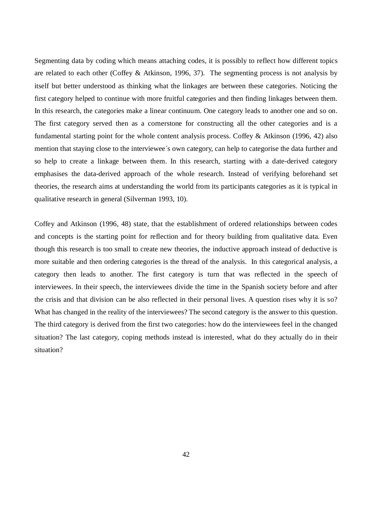Segmenting data by coding which means attaching codes, it is possibly to reflect how different topics are related to each other (Coffey & Atkinson, 1996, 37). The segmenting process is not analysis by itself but better understood as thinking what the linkages are between these categories. Noticing the first category helped to continue with more fruitful categories and then finding linkages between them. In this research, the categories make a linear continuum. One category leads to another one and so on. The first category served then as a cornerstone for constructing all the other categories and is a fundamental starting point for the whole content analysis process. Coffey & Atkinson (1996, 42) also mention that staying close to the interviewee´s own category, can help to categorise the data further and so help to create a linkage between them. In this research, starting with a date-derived category emphasises the data-derived approach of the whole research. Instead of verifying beforehand set theories, the research aims at understanding the world from its participants categories as it is typical in qualitative research in general (Silverman 1993, 10).

Coffey and Atkinson (1996, 48) state, that the establishment of ordered relationships between codes and concepts is the starting point for reflection and for theory building from qualitative data. Even though this research is too small to create new theories, the inductive approach instead of deductive is more suitable and then ordering categories is the thread of the analysis. In this categorical analysis, a category then leads to another. The first category is turn that was reflected in the speech of interviewees. In their speech, the interviewees divide the time in the Spanish society before and after the crisis and that division can be also reflected in their personal lives. A question rises why it is so? What has changed in the reality of the interviewees? The second category is the answer to this question. The third category is derived from the first two categories: how do the interviewees feel in the changed situation? The last category, coping methods instead is interested, what do they actually do in their situation?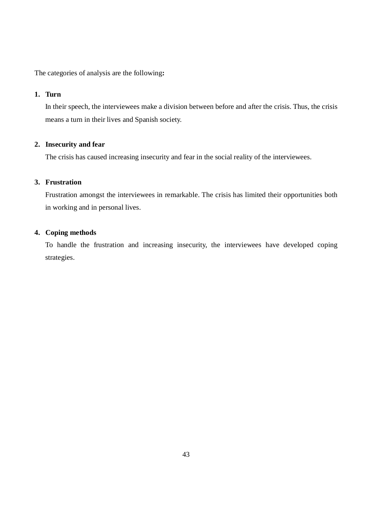The categories of analysis are the following**:** 

# **1. Turn**

In their speech, the interviewees make a division between before and after the crisis. Thus, the crisis means a turn in their lives and Spanish society.

# **2. Insecurity and fear**

The crisis has caused increasing insecurity and fear in the social reality of the interviewees.

# **3. Frustration**

Frustration amongst the interviewees in remarkable. The crisis has limited their opportunities both in working and in personal lives.

## **4. Coping methods**

To handle the frustration and increasing insecurity, the interviewees have developed coping strategies.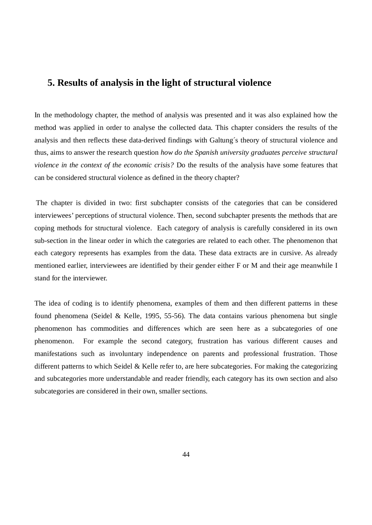# **5. Results of analysis in the light of structural violence**

In the methodology chapter, the method of analysis was presented and it was also explained how the method was applied in order to analyse the collected data. This chapter considers the results of the analysis and then reflects these data-derived findings with Galtung´s theory of structural violence and thus, aims to answer the research question *how do the Spanish university graduates perceive structural violence in the context of the economic crisis?* Do the results of the analysis have some features that can be considered structural violence as defined in the theory chapter?

 The chapter is divided in two: first subchapter consists of the categories that can be considered interviewees' perceptions of structural violence. Then, second subchapter presents the methods that are coping methods for structural violence. Each category of analysis is carefully considered in its own sub-section in the linear order in which the categories are related to each other. The phenomenon that each category represents has examples from the data. These data extracts are in cursive. As already mentioned earlier, interviewees are identified by their gender either F or M and their age meanwhile I stand for the interviewer.

The idea of coding is to identify phenomena, examples of them and then different patterns in these found phenomena (Seidel & Kelle, 1995, 55-56). The data contains various phenomena but single phenomenon has commodities and differences which are seen here as a subcategories of one phenomenon. For example the second category, frustration has various different causes and manifestations such as involuntary independence on parents and professional frustration. Those different patterns to which Seidel & Kelle refer to, are here subcategories. For making the categorizing and subcategories more understandable and reader friendly, each category has its own section and also subcategories are considered in their own, smaller sections.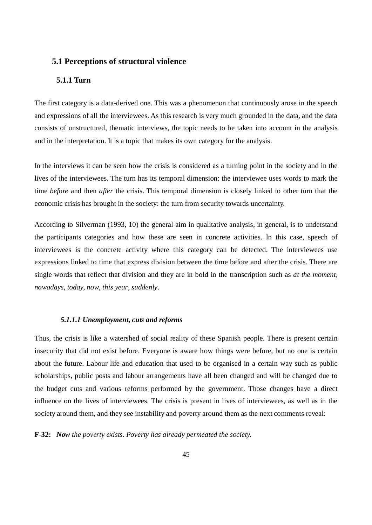# **5.1 Perceptions of structural violence**

# **5.1.1 Turn**

The first category is a data-derived one. This was a phenomenon that continuously arose in the speech and expressions of all the interviewees. As this research is very much grounded in the data, and the data consists of unstructured, thematic interviews, the topic needs to be taken into account in the analysis and in the interpretation. It is a topic that makes its own category for the analysis.

In the interviews it can be seen how the crisis is considered as a turning point in the society and in the lives of the interviewees. The turn has its temporal dimension: the interviewee uses words to mark the time *before* and then *after* the crisis. This temporal dimension is closely linked to other turn that the economic crisis has brought in the society: the turn from security towards uncertainty.

According to Silverman (1993, 10) the general aim in qualitative analysis, in general, is to understand the participants categories and how these are seen in concrete activities. In this case, speech of interviewees is the concrete activity where this category can be detected. The interviewees use expressions linked to time that express division between the time before and after the crisis. There are single words that reflect that division and they are in bold in the transcription such as *at the moment, nowadays*, *today, now*, *this year*, *suddenly*.

#### *5.1.1.1 Unemployment, cuts and reforms*

Thus, the crisis is like a watershed of social reality of these Spanish people. There is present certain insecurity that did not exist before. Everyone is aware how things were before, but no one is certain about the future. Labour life and education that used to be organised in a certain way such as public scholarships, public posts and labour arrangements have all been changed and will be changed due to the budget cuts and various reforms performed by the government. Those changes have a direct influence on the lives of interviewees. The crisis is present in lives of interviewees, as well as in the society around them, and they see instability and poverty around them as the next comments reveal:

**F-32:** *Now the poverty exists. Poverty has already permeated the society.*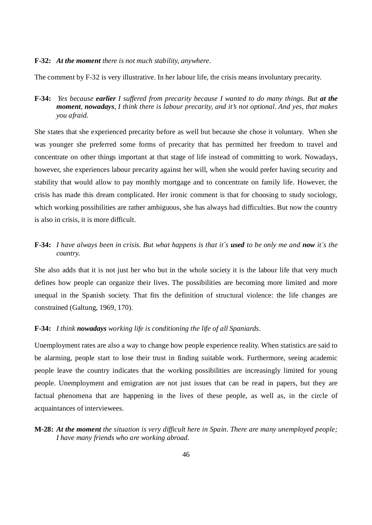#### **F-32:** *At the moment there is not much stability, anywhere.*

The comment by F-32 is very illustrative. In her labour life, the crisis means involuntary precarity.

**F-34:** *Yes because earlier I suffered from precarity because I wanted to do many things. But at the moment, nowadays, I think there is labour precarity, and it's not optional. And yes, that makes you afraid.* 

She states that she experienced precarity before as well but because she chose it voluntary. When she was younger she preferred some forms of precarity that has permitted her freedom to travel and concentrate on other things important at that stage of life instead of committing to work. Nowadays, however, she experiences labour precarity against her will, when she would prefer having security and stability that would allow to pay monthly mortgage and to concentrate on family life. However, the crisis has made this dream complicated. Her ironic comment is that for choosing to study sociology, which working possibilities are rather ambiguous, she has always had difficulties. But now the country is also in crisis, it is more difficult.

# **F-34:** *I have always been in crisis. But what happens is that it´s used to be only me and now it´s the country.*

She also adds that it is not just her who but in the whole society it is the labour life that very much defines how people can organize their lives. The possibilities are becoming more limited and more unequal in the Spanish society. That fits the definition of structural violence: the life changes are constrained (Galtung, 1969, 170).

#### **F-34:** *I think nowadays working life is conditioning the life of all Spaniards.*

Unemployment rates are also a way to change how people experience reality. When statistics are said to be alarming, people start to lose their trust in finding suitable work. Furthermore, seeing academic people leave the country indicates that the working possibilities are increasingly limited for young people. Unemployment and emigration are not just issues that can be read in papers, but they are factual phenomena that are happening in the lives of these people, as well as, in the circle of acquaintances of interviewees.

### **M-28:** *At the moment the situation is very difficult here in Spain. There are many unemployed people; I have many friends who are working abroad.*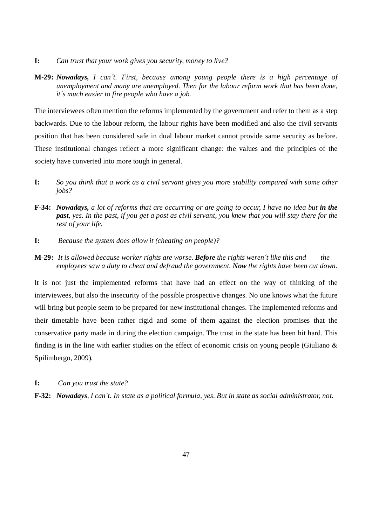- **I:** *Can trust that your work gives you security, money to live?*
- **M-29:** *Nowadays, I can´t. First, because among young people there is a high percentage of unemployment and many are unemployed. Then for the labour reform work that has been done, it´s much easier to fire people who have a job.*

The interviewees often mention the reforms implemented by the government and refer to them as a step backwards. Due to the labour reform, the labour rights have been modified and also the civil servants position that has been considered safe in dual labour market cannot provide same security as before. These institutional changes reflect a more significant change: the values and the principles of the society have converted into more tough in general.

- **I:** *So you think that a work as a civil servant gives you more stability compared with some other jobs?*
- **F-34:** *Nowadays, a lot of reforms that are occurring or are going to occur, I have no idea but in the past, yes. In the past, if you get a post as civil servant, you knew that you will stay there for the rest of your life.*
- **I:** *Because the system does allow it (cheating on people)?*
- **M-29:** *It is allowed because worker rights are worse. Before the rights weren´t like this and the employees saw a duty to cheat and defraud the government. Now the rights have been cut down.*

It is not just the implemented reforms that have had an effect on the way of thinking of the interviewees, but also the insecurity of the possible prospective changes. No one knows what the future will bring but people seem to be prepared for new institutional changes. The implemented reforms and their timetable have been rather rigid and some of them against the election promises that the conservative party made in during the election campaign. The trust in the state has been hit hard. This finding is in the line with earlier studies on the effect of economic crisis on young people (Giuliano & Spilimbergo, 2009).

**I:** *Can you trust the state?*

**F-32:** *Nowadays, I can´t. In state as a political formula, yes. But in state as social administrator, not.*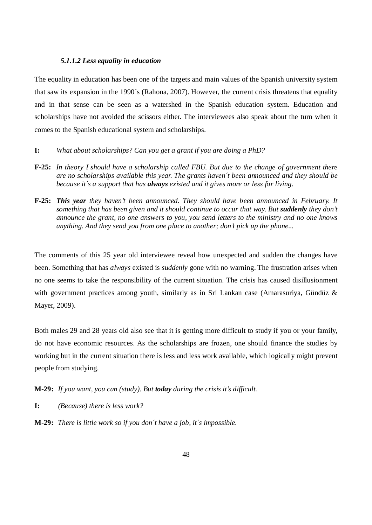#### *5.1.1.2 Less equality in education*

The equality in education has been one of the targets and main values of the Spanish university system that saw its expansion in the 1990´s (Rahona, 2007). However, the current crisis threatens that equality and in that sense can be seen as a watershed in the Spanish education system. Education and scholarships have not avoided the scissors either. The interviewees also speak about the turn when it comes to the Spanish educational system and scholarships.

- **I:** *What about scholarships? Can you get a grant if you are doing a PhD?*
- **F-25:** *In theory I should have a scholarship called FBU. But due to the change of government there are no scholarships available this year. The grants haven´t been announced and they should be because it´s a support that has always existed and it gives more or less for living.*
- **F-25:** *This year they haven't been announced. They should have been announced in February. It something that has been given and it should continue to occur that way. But <i>suddenly* they don't *announce the grant, no one answers to you, you send letters to the ministry and no one knows anything. And they send you from one place to another; don't pick up the phone...*

The comments of this 25 year old interviewee reveal how unexpected and sudden the changes have been. Something that has *always* existed is *suddenly* gone with no warning. The frustration arises when no one seems to take the responsibility of the current situation. The crisis has caused disillusionment with government practices among youth, similarly as in Sri Lankan case (Amarasuriya, Gündüz & Mayer, 2009).

Both males 29 and 28 years old also see that it is getting more difficult to study if you or your family, do not have economic resources. As the scholarships are frozen, one should finance the studies by working but in the current situation there is less and less work available, which logically might prevent people from studying.

**M-29:** *If you want, you can (study). But today during the crisis it's difficult.* 

**I:** *(Because) there is less work?* 

**M-29:** *There is little work so if you don´t have a job, it´s impossible.*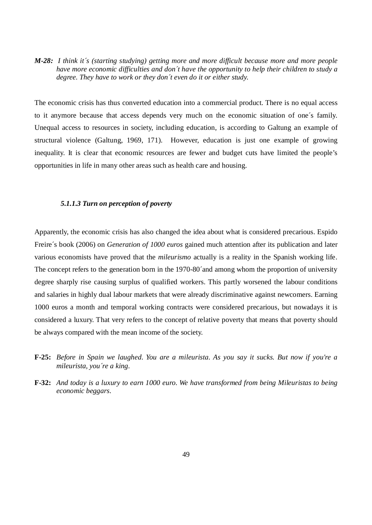*M-28: I think it´s (starting studying) getting more and more difficult because more and more people have more economic difficulties and don´t have the opportunity to help their children to study a degree. They have to work or they don´t even do it or either study.* 

The economic crisis has thus converted education into a commercial product. There is no equal access to it anymore because that access depends very much on the economic situation of one´s family. Unequal access to resources in society, including education, is according to Galtung an example of structural violence (Galtung, 1969, 171). However, education is just one example of growing inequality. It is clear that economic resources are fewer and budget cuts have limited the people's opportunities in life in many other areas such as health care and housing.

#### *5.1.1.3 Turn on perception of poverty*

Apparently, the economic crisis has also changed the idea about what is considered precarious. Espido Freire´s book (2006) on *Generation of 1000 euros* gained much attention after its publication and later various economists have proved that the *mileurismo* actually is a reality in the Spanish working life. The concept refers to the generation born in the 1970-80´and among whom the proportion of university degree sharply rise causing surplus of qualified workers. This partly worsened the labour conditions and salaries in highly dual labour markets that were already discriminative against newcomers. Earning 1000 euros a month and temporal working contracts were considered precarious, but nowadays it is considered a luxury. That very refers to the concept of relative poverty that means that poverty should be always compared with the mean income of the society.

- **F-25:** *Before in Spain we laughed. You are a mileurista. As you say it sucks. But now if you're a mileurista, you´re a king.*
- **F-32:** *And today is a luxury to earn 1000 euro. We have transformed from being Mileuristas to being economic beggars.*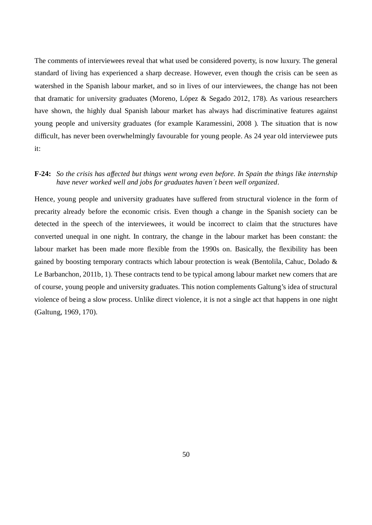The comments of interviewees reveal that what used be considered poverty, is now luxury. The general standard of living has experienced a sharp decrease. However, even though the crisis can be seen as watershed in the Spanish labour market, and so in lives of our interviewees, the change has not been that dramatic for university graduates (Moreno, López & Segado 2012, 178). As various researchers have shown, the highly dual Spanish labour market has always had discriminative features against young people and university graduates (for example Karamessini, 2008 ). The situation that is now difficult, has never been overwhelmingly favourable for young people. As 24 year old interviewee puts it:

# **F-24:** *So the crisis has affected but things went wrong even before. In Spain the things like internship have never worked well and jobs for graduates haven´t been well organized*.

Hence, young people and university graduates have suffered from structural violence in the form of precarity already before the economic crisis. Even though a change in the Spanish society can be detected in the speech of the interviewees, it would be incorrect to claim that the structures have converted unequal in one night. In contrary, the change in the labour market has been constant: the labour market has been made more flexible from the 1990s on. Basically, the flexibility has been gained by boosting temporary contracts which labour protection is weak (Bentolila, Cahuc, Dolado  $\&$ Le Barbanchon, 2011b, 1). These contracts tend to be typical among labour market new comers that are of course, young people and university graduates. This notion complements Galtung's idea of structural violence of being a slow process. Unlike direct violence, it is not a single act that happens in one night (Galtung, 1969, 170).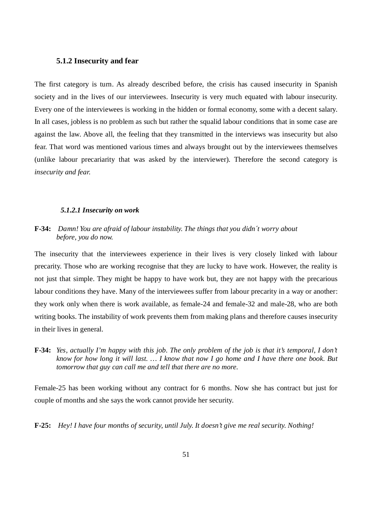#### **5.1.2 Insecurity and fear**

The first category is turn. As already described before, the crisis has caused insecurity in Spanish society and in the lives of our interviewees. Insecurity is very much equated with labour insecurity. Every one of the interviewees is working in the hidden or formal economy, some with a decent salary. In all cases, jobless is no problem as such but rather the squalid labour conditions that in some case are against the law. Above all, the feeling that they transmitted in the interviews was insecurity but also fear. That word was mentioned various times and always brought out by the interviewees themselves (unlike labour precariarity that was asked by the interviewer). Therefore the second category is *insecurity and fear.* 

#### *5.1.2.1 Insecurity on work*

## **F-34:** *Damn! You are afraid of labour instability. The things that you didn´t worry about before, you do now.*

The insecurity that the interviewees experience in their lives is very closely linked with labour precarity. Those who are working recognise that they are lucky to have work. However, the reality is not just that simple. They might be happy to have work but, they are not happy with the precarious labour conditions they have. Many of the interviewees suffer from labour precarity in a way or another: they work only when there is work available, as female-24 and female-32 and male-28, who are both writing books. The instability of work prevents them from making plans and therefore causes insecurity in their lives in general.

**F-34:** *Yes, actually I'm happy with this job. The only problem of the job is that it's temporal, I don't know for how long it will last. … I know that now I go home and I have there one book. But tomorrow that guy can call me and tell that there are no more.* 

Female-25 has been working without any contract for 6 months. Now she has contract but just for couple of months and she says the work cannot provide her security.

**F-25:** *Hey! I have four months of security, until July. It doesn't give me real security. Nothing!*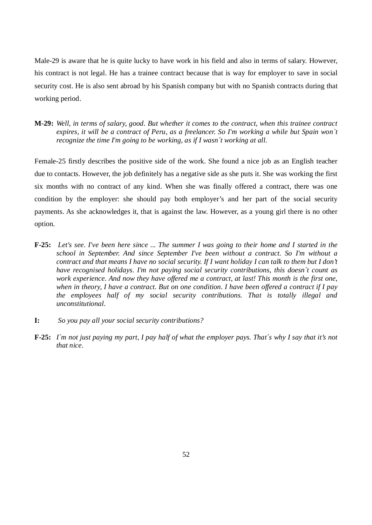Male-29 is aware that he is quite lucky to have work in his field and also in terms of salary. However, his contract is not legal. He has a trainee contract because that is way for employer to save in social security cost. He is also sent abroad by his Spanish company but with no Spanish contracts during that working period.

**M-29:** *Well, in terms of salary, good. But whether it comes to the contract, when this trainee contract expires, it will be a contract of Peru, as a freelancer. So I'm working a while but Spain won`t recognize the time I'm going to be working, as if I wasn´t working at all.* 

Female-25 firstly describes the positive side of the work. She found a nice job as an English teacher due to contacts. However, the job definitely has a negative side as she puts it. She was working the first six months with no contract of any kind. When she was finally offered a contract, there was one condition by the employer: she should pay both employer's and her part of the social security payments. As she acknowledges it, that is against the law. However, as a young girl there is no other option.

- **F-25:** *Let's see. I've been here since ... The summer I was going to their home and I started in the school in September. And since September I've been without a contract. So I'm without a contract and that means I have no social security. If I want holiday I can talk to them but I don't have recognised holidays. I'm not paying social security contributions, this doesn´t count as work experience. And now they have offered me a contract, at last! This month is the first one, when in theory, I have a contract. But on one condition. I have been offered a contract if I pay the employees half of my social security contributions. That is totally illegal and unconstitutional.*
- **I:** *So you pay all your social security contributions?*
- **F-25:** *I´m not just paying my part, I pay half of what the employer pays. That´s why I say that it's not that nice.*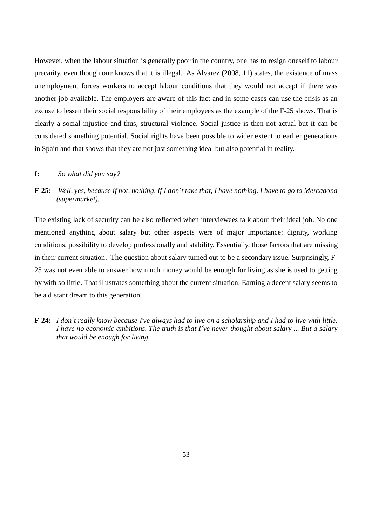However, when the labour situation is generally poor in the country, one has to resign oneself to labour precarity, even though one knows that it is illegal. As Álvarez (2008, 11) states, the existence of mass unemployment forces workers to accept labour conditions that they would not accept if there was another job available. The employers are aware of this fact and in some cases can use the crisis as an excuse to lessen their social responsibility of their employees as the example of the F-25 shows. That is clearly a social injustice and thus, structural violence. Social justice is then not actual but it can be considered something potential. Social rights have been possible to wider extent to earlier generations in Spain and that shows that they are not just something ideal but also potential in reality.

## **I:** *So what did you say?*

**F-25:** *Well, yes, because if not, nothing. If I don´t take that, I have nothing. I have to go to Mercadona (supermarket).* 

The existing lack of security can be also reflected when interviewees talk about their ideal job. No one mentioned anything about salary but other aspects were of major importance: dignity, working conditions, possibility to develop professionally and stability. Essentially, those factors that are missing in their current situation. The question about salary turned out to be a secondary issue. Surprisingly, F-25 was not even able to answer how much money would be enough for living as she is used to getting by with so little. That illustrates something about the current situation. Earning a decent salary seems to be a distant dream to this generation.

**F-24:** *I don´t really know because I've always had to live on a scholarship and I had to live with little. I have no economic ambitions. The truth is that I´ve never thought about salary ... But a salary that would be enough for living.*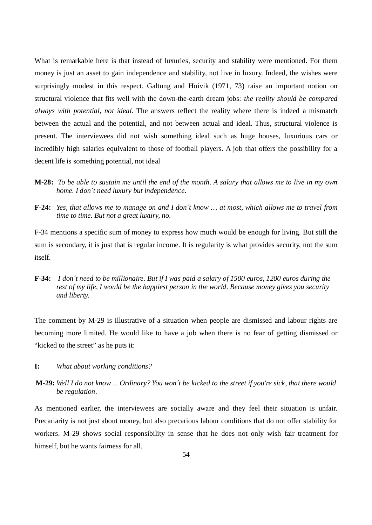What is remarkable here is that instead of luxuries, security and stability were mentioned. For them money is just an asset to gain independence and stability, not live in luxury. Indeed, the wishes were surprisingly modest in this respect. Galtung and Höivik (1971, 73) raise an important notion on structural violence that fits well with the down-the-earth dream jobs: *the reality should be compared always with potential, not ideal*. The answers reflect the reality where there is indeed a mismatch between the actual and the potential, and not between actual and ideal. Thus, structural violence is present. The interviewees did not wish something ideal such as huge houses, luxurious cars or incredibly high salaries equivalent to those of football players. A job that offers the possibility for a decent life is something potential, not ideal

- **M-28:** *To be able to sustain me until the end of the month. A salary that allows me to live in my own home. I don´t need luxury but independence.*
- **F-24:** *Yes, that allows me to manage on and I don´t know … at most, which allows me to travel from time to time. But not a great luxury, no.*

F-34 mentions a specific sum of money to express how much would be enough for living. But still the sum is secondary, it is just that is regular income. It is regularity is what provides security, not the sum itself.

**F-34:** *I don´t need to be millionaire. But if I was paid a salary of 1500 euros, 1200 euros during the rest of my life, I would be the happiest person in the world. Because money gives you security and liberty.* 

The comment by M-29 is illustrative of a situation when people are dismissed and labour rights are becoming more limited. He would like to have a job when there is no fear of getting dismissed or "kicked to the street" as he puts it:

- **I:** *What about working conditions?*
- **M-29:** *Well I do not know ... Ordinary? You won´t be kicked to the street if you're sick, that there would be regulation*.

As mentioned earlier, the interviewees are socially aware and they feel their situation is unfair. Precariarity is not just about money, but also precarious labour conditions that do not offer stability for workers. M-29 shows social responsibility in sense that he does not only wish fair treatment for himself, but he wants fairness for all.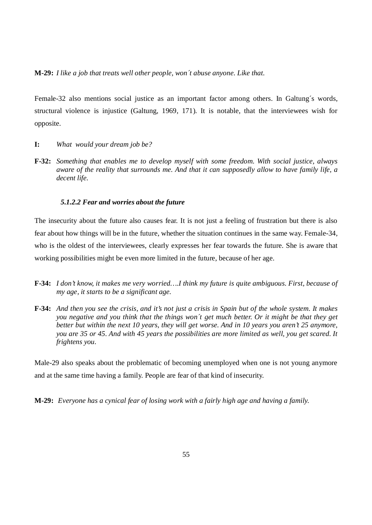**M-29:** *I like a job that treats well other people, won´t abuse anyone. Like that.* 

Female-32 also mentions social justice as an important factor among others. In Galtung´s words, structural violence is injustice (Galtung, 1969, 171). It is notable, that the interviewees wish for opposite.

- **I:** *What would your dream job be?*
- **F-32:** *Something that enables me to develop myself with some freedom. With social justice, always aware of the reality that surrounds me. And that it can supposedly allow to have family life, a decent life.*

#### *5.1.2.2 Fear and worries about the future*

The insecurity about the future also causes fear. It is not just a feeling of frustration but there is also fear about how things will be in the future, whether the situation continues in the same way. Female-34, who is the oldest of the interviewees, clearly expresses her fear towards the future. She is aware that working possibilities might be even more limited in the future, because of her age.

- **F-34:** *I don't know, it makes me very worried….I think my future is quite ambiguous. First, because of my age, it starts to be a significant age.*
- **F-34:** *And then you see the crisis, and it's not just a crisis in Spain but of the whole system. It makes you negative and you think that the things won´t get much better. Or it might be that they get better but within the next 10 years, they will get worse. And in 10 years you aren't 25 anymore, you are 35 or 45. And with 45 years the possibilities are more limited as well, you get scared. It frightens you.*

Male-29 also speaks about the problematic of becoming unemployed when one is not young anymore and at the same time having a family. People are fear of that kind of insecurity.

**M-29:** *Everyone has a cynical fear of losing work with a fairly high age and having a family.*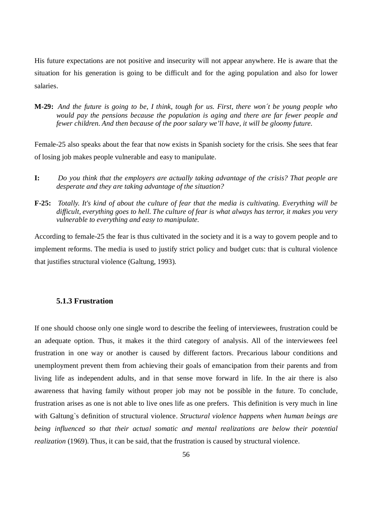His future expectations are not positive and insecurity will not appear anywhere. He is aware that the situation for his generation is going to be difficult and for the aging population and also for lower salaries.

**M-29:** *And the future is going to be, I think, tough for us. First, there won´t be young people who would pay the pensions because the population is aging and there are far fewer people and fewer children. And then because of the poor salary we'll have, it will be gloomy future.* 

Female-25 also speaks about the fear that now exists in Spanish society for the crisis. She sees that fear of losing job makes people vulnerable and easy to manipulate.

- **I:** *Do you think that the employers are actually taking advantage of the crisis? That people are desperate and they are taking advantage of the situation?*
- **F-25:** *Totally. It's kind of about the culture of fear that the media is cultivating. Everything will be difficult, everything goes to hell. The culture of fear is what always has terror, it makes you very vulnerable to everything and easy to manipulate.*

According to female-25 the fear is thus cultivated in the society and it is a way to govern people and to implement reforms. The media is used to justify strict policy and budget cuts: that is cultural violence that justifies structural violence (Galtung, 1993).

# **5.1.3 Frustration**

If one should choose only one single word to describe the feeling of interviewees, frustration could be an adequate option. Thus, it makes it the third category of analysis. All of the interviewees feel frustration in one way or another is caused by different factors. Precarious labour conditions and unemployment prevent them from achieving their goals of emancipation from their parents and from living life as independent adults, and in that sense move forward in life. In the air there is also awareness that having family without proper job may not be possible in the future. To conclude, frustration arises as one is not able to live ones life as one prefers. This definition is very much in line with Galtung`s definition of structural violence. *Structural violence happens when human beings are being influenced so that their actual somatic and mental realizations are below their potential realization* (1969). Thus, it can be said, that the frustration is caused by structural violence.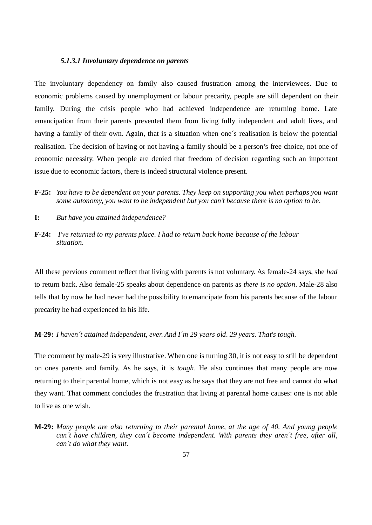### *5.1.3.1 Involuntary dependence on parents*

The involuntary dependency on family also caused frustration among the interviewees. Due to economic problems caused by unemployment or labour precarity, people are still dependent on their family. During the crisis people who had achieved independence are returning home. Late emancipation from their parents prevented them from living fully independent and adult lives, and having a family of their own. Again, that is a situation when one´s realisation is below the potential realisation. The decision of having or not having a family should be a person's free choice, not one of economic necessity. When people are denied that freedom of decision regarding such an important issue due to economic factors, there is indeed structural violence present.

- **F-25:** *You have to be dependent on your parents. They keep on supporting you when perhaps you want some autonomy, you want to be independent but you can't because there is no option to be.*
- **I:** *But have you attained independence?*
- **F-24:** *I've returned to my parents place. I had to return back home because of the labour situation.*

All these pervious comment reflect that living with parents is not voluntary. As female-24 says, she *had*  to return back. Also female-25 speaks about dependence on parents as *there is no option*. Male-28 also tells that by now he had never had the possibility to emancipate from his parents because of the labour precarity he had experienced in his life.

#### **M-29:** *I haven´t attained independent, ever. And I´m 29 years old. 29 years. That's tough.*

The comment by male-29 is very illustrative. When one is turning 30, it is not easy to still be dependent on ones parents and family. As he says, it is *tough*. He also continues that many people are now returning to their parental home, which is not easy as he says that they are not free and cannot do what they want. That comment concludes the frustration that living at parental home causes: one is not able to live as one wish.

**M-29:** *Many people are also returning to their parental home, at the age of 40. And young people can´t have children, they can´t become independent. With parents they aren´t free, after all, can´t do what they want.*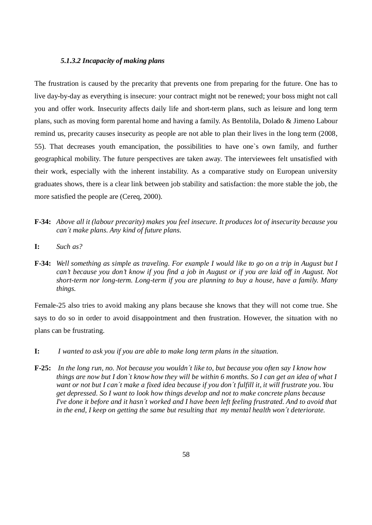### *5.1.3.2 Incapacity of making plans*

The frustration is caused by the precarity that prevents one from preparing for the future. One has to live day-by-day as everything is insecure: your contract might not be renewed; your boss might not call you and offer work. Insecurity affects daily life and short-term plans, such as leisure and long term plans, such as moving form parental home and having a family. As Bentolila, Dolado & Jimeno Labour remind us, precarity causes insecurity as people are not able to plan their lives in the long term (2008, 55). That decreases youth emancipation, the possibilities to have one`s own family, and further geographical mobility. The future perspectives are taken away. The interviewees felt unsatisfied with their work, especially with the inherent instability. As a comparative study on European university graduates shows, there is a clear link between job stability and satisfaction: the more stable the job, the more satisfied the people are (Cereq, 2000).

- **F-34:** *Above all it (labour precarity) makes you feel insecure. It produces lot of insecurity because you can´t make plans. Any kind of future plans.*
- **I:** *Such as?*
- **F-34:** *Well something as simple as traveling. For example I would like to go on a trip in August but I can't because you don't know if you find a job in August or if you are laid off in August. Not short-term nor long-term. Long-term if you are planning to buy a house, have a family. Many things.*

Female-25 also tries to avoid making any plans because she knows that they will not come true. She says to do so in order to avoid disappointment and then frustration. However, the situation with no plans can be frustrating.

- **I:** *I wanted to ask you if you are able to make long term plans in the situation.*
- **F-25:** *In the long run, no. Not because you wouldn´t like to, but because you often say I know how things are now but I don`t know how they will be within 6 months. So I can get an idea of what I want or not but I can´t make a fixed idea because if you don´t fulfill it, it will frustrate you. You get depressed. So I want to look how things develop and not to make concrete plans because I've done it before and it hasn´t worked and I have been left feeling frustrated. And to avoid that in the end, I keep on getting the same but resulting that my mental health won´t deteriorate.*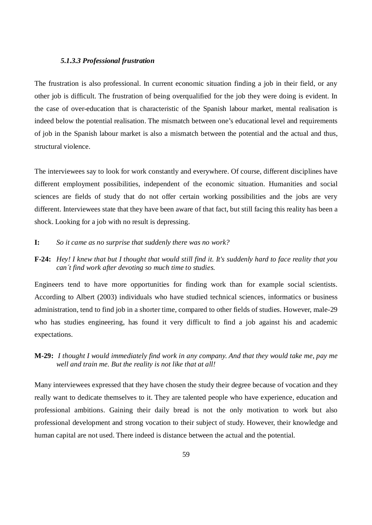#### *5.1.3.3 Professional frustration*

The frustration is also professional. In current economic situation finding a job in their field, or any other job is difficult. The frustration of being overqualified for the job they were doing is evident. In the case of over-education that is characteristic of the Spanish labour market, mental realisation is indeed below the potential realisation. The mismatch between one's educational level and requirements of job in the Spanish labour market is also a mismatch between the potential and the actual and thus, structural violence.

The interviewees say to look for work constantly and everywhere. Of course, different disciplines have different employment possibilities, independent of the economic situation. Humanities and social sciences are fields of study that do not offer certain working possibilities and the jobs are very different. Interviewees state that they have been aware of that fact, but still facing this reality has been a shock. Looking for a job with no result is depressing.

## **I:** *So it came as no surprise that suddenly there was no work?*

## **F-24:** *Hey! I knew that but I thought that would still find it. It's suddenly hard to face reality that you can´t find work after devoting so much time to studies.*

Engineers tend to have more opportunities for finding work than for example social scientists. According to Albert (2003) individuals who have studied technical sciences, informatics or business administration, tend to find job in a shorter time, compared to other fields of studies. However, male-29 who has studies engineering, has found it very difficult to find a job against his and academic expectations.

# **M-29:** *I thought I would immediately find work in any company. And that they would take me, pay me well and train me. But the reality is not like that at all!*

Many interviewees expressed that they have chosen the study their degree because of vocation and they really want to dedicate themselves to it. They are talented people who have experience, education and professional ambitions. Gaining their daily bread is not the only motivation to work but also professional development and strong vocation to their subject of study. However, their knowledge and human capital are not used. There indeed is distance between the actual and the potential.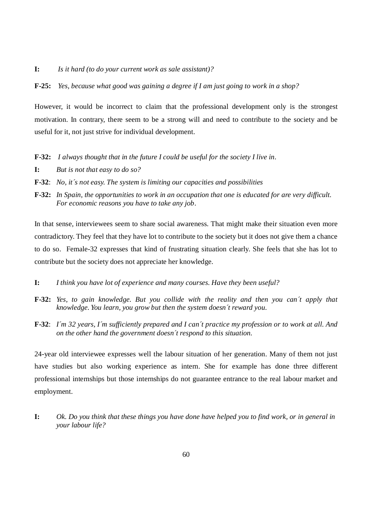- **I:** *Is it hard (to do your current work as sale assistant)?*
- **F-25:** *Yes, because what good was gaining a degree if I am just going to work in a shop?*

However, it would be incorrect to claim that the professional development only is the strongest motivation. In contrary, there seem to be a strong will and need to contribute to the society and be useful for it, not just strive for individual development.

- **F-32:** *I always thought that in the future I could be useful for the society I live in.*
- **I:** *But is not that easy to do so?*
- **F-32**: *No, it´s not easy. The system is limiting our capacities and possibilities*
- **F-32:** *In Spain, the opportunities to work in an occupation that one is educated for are very difficult. For economic reasons you have to take any job*.

In that sense, interviewees seem to share social awareness. That might make their situation even more contradictory. They feel that they have lot to contribute to the society but it does not give them a chance to do so. Female-32 expresses that kind of frustrating situation clearly. She feels that she has lot to contribute but the society does not appreciate her knowledge.

- **I:** *I think you have lot of experience and many courses. Have they been useful?*
- **F-32:** *Yes, to gain knowledge. But you collide with the reality and then you can´t apply that knowledge. You learn, you grow but then the system doesn´t reward you.*
- **F-32**: *I´m 32 years, I´m sufficiently prepared and I can´t practice my profession or to work at all. And on the other hand the government doesn´t respond to this situation.*

24-year old interviewee expresses well the labour situation of her generation. Many of them not just have studies but also working experience as intern. She for example has done three different professional internships but those internships do not guarantee entrance to the real labour market and employment.

**I:** *Ok. Do you think that these things you have done have helped you to find work, or in general in your labour life?*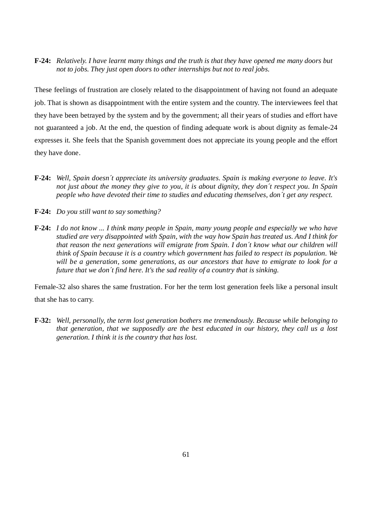**F-24:** *Relatively. I have learnt many things and the truth is that they have opened me many doors but not to jobs. They just open doors to other internships but not to real jobs.* 

These feelings of frustration are closely related to the disappointment of having not found an adequate job. That is shown as disappointment with the entire system and the country. The interviewees feel that they have been betrayed by the system and by the government; all their years of studies and effort have not guaranteed a job. At the end, the question of finding adequate work is about dignity as female-24 expresses it. She feels that the Spanish government does not appreciate its young people and the effort they have done.

- **F-24:** *Well, Spain doesn´t appreciate its university graduates. Spain is making everyone to leave. It's not just about the money they give to you, it is about dignity, they don´t respect you. In Spain people who have devoted their time to studies and educating themselves, don´t get any respect.*
- **F-24:** *Do you still want to say something?*
- **F-24:** *I do not know ... I think many people in Spain, many young people and especially we who have studied are very disappointed with Spain, with the way how Spain has treated us. And I think for that reason the next generations will emigrate from Spain. I don´t know what our children will think of Spain because it is a country which government has failed to respect its population. We will be a generation, some generations, as our ancestors that have to emigrate to look for a future that we don´t find here. It's the sad reality of a country that is sinking.*

Female-32 also shares the same frustration. For her the term lost generation feels like a personal insult that she has to carry.

**F-32:** *Well, personally, the term lost generation bothers me tremendously. Because while belonging to that generation, that we supposedly are the best educated in our history, they call us a lost generation. I think it is the country that has lost.*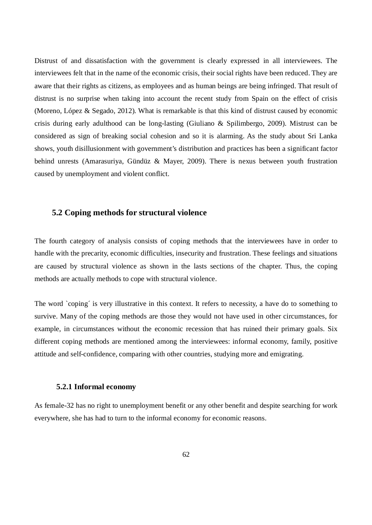Distrust of and dissatisfaction with the government is clearly expressed in all interviewees. The interviewees felt that in the name of the economic crisis, their social rights have been reduced. They are aware that their rights as citizens, as employees and as human beings are being infringed. That result of distrust is no surprise when taking into account the recent study from Spain on the effect of crisis (Moreno, López & Segado, 2012). What is remarkable is that this kind of distrust caused by economic crisis during early adulthood can be long-lasting (Giuliano & Spilimbergo, 2009). Mistrust can be considered as sign of breaking social cohesion and so it is alarming. As the study about Sri Lanka shows, youth disillusionment with government's distribution and practices has been a significant factor behind unrests (Amarasuriya, Gündüz & Mayer, 2009). There is nexus between youth frustration caused by unemployment and violent conflict.

### **5.2 Coping methods for structural violence**

The fourth category of analysis consists of coping methods that the interviewees have in order to handle with the precarity, economic difficulties, insecurity and frustration. These feelings and situations are caused by structural violence as shown in the lasts sections of the chapter. Thus, the coping methods are actually methods to cope with structural violence.

The word `coping´ is very illustrative in this context. It refers to necessity, a have do to something to survive. Many of the coping methods are those they would not have used in other circumstances, for example, in circumstances without the economic recession that has ruined their primary goals. Six different coping methods are mentioned among the interviewees: informal economy, family, positive attitude and self-confidence, comparing with other countries, studying more and emigrating.

#### **5.2.1 Informal economy**

As female-32 has no right to unemployment benefit or any other benefit and despite searching for work everywhere, she has had to turn to the informal economy for economic reasons.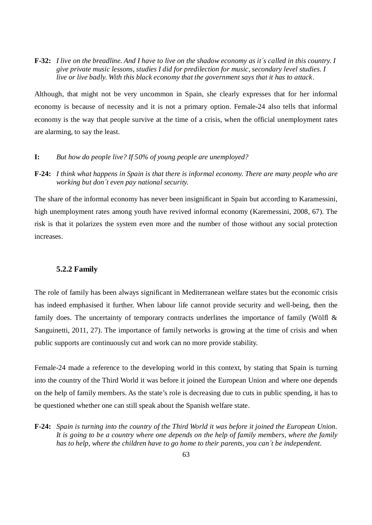**F-32:** *I live on the breadline. And I have to live on the shadow economy as it´s called in this country. I give private music lessons, studies I did for predilection for music, secondary level studies. I live or live badly. With this black economy that the government says that it has to attack*.

Although, that might not be very uncommon in Spain, she clearly expresses that for her informal economy is because of necessity and it is not a primary option. Female-24 also tells that informal economy is the way that people survive at the time of a crisis, when the official unemployment rates are alarming, to say the least.

#### **I:** *But how do people live? If 50% of young people are unemployed?*

**F-24:** *I think what happens in Spain is that there is informal economy. There are many people who are working but don´t even pay national security.* 

The share of the informal economy has never been insignificant in Spain but according to Karamessini, high unemployment rates among youth have revived informal economy (Karemessini, 2008, 67). The risk is that it polarizes the system even more and the number of those without any social protection increases.

# **5.2.2 Family**

The role of family has been always significant in Mediterranean welfare states but the economic crisis has indeed emphasised it further. When labour life cannot provide security and well-being, then the family does. The uncertainty of temporary contracts underlines the importance of family (Wölfl & Sanguinetti, 2011, 27). The importance of family networks is growing at the time of crisis and when public supports are continuously cut and work can no more provide stability.

Female-24 made a reference to the developing world in this context, by stating that Spain is turning into the country of the Third World it was before it joined the European Union and where one depends on the help of family members. As the state's role is decreasing due to cuts in public spending, it has to be questioned whether one can still speak about the Spanish welfare state.

**F-24:** *Spain is turning into the country of the Third World it was before it joined the European Union. It is going to be a country where one depends on the help of family members, where the family has to help, where the children have to go home to their parents, you can´t be independent.*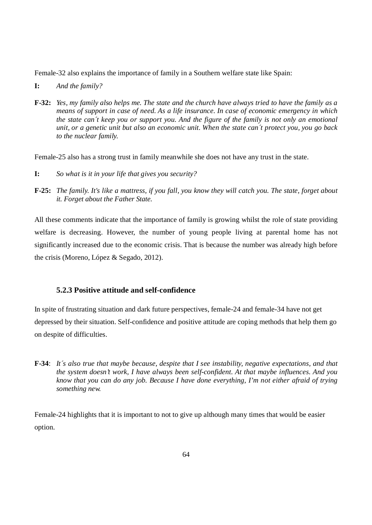Female-32 also explains the importance of family in a Southern welfare state like Spain:

- **I:** *And the family?*
- **F-32:** *Yes, my family also helps me. The state and the church have always tried to have the family as a means of support in case of need. As a life insurance. In case of economic emergency in which the state can´t keep you or support you. And the figure of the family is not only an emotional unit, or a genetic unit but also an economic unit. When the state can´t protect you, you go back to the nuclear family.*

Female-25 also has a strong trust in family meanwhile she does not have any trust in the state.

- **I:** *So what is it in your life that gives you security?*
- **F-25:** *The family. It's like a mattress, if you fall, you know they will catch you. The state, forget about it. Forget about the Father State.*

All these comments indicate that the importance of family is growing whilst the role of state providing welfare is decreasing. However, the number of young people living at parental home has not significantly increased due to the economic crisis. That is because the number was already high before the crisis (Moreno, López & Segado, 2012).

# **5.2.3 Positive attitude and self-confidence**

In spite of frustrating situation and dark future perspectives, female-24 and female-34 have not get depressed by their situation. Self-confidence and positive attitude are coping methods that help them go on despite of difficulties.

**F-34**: *It´s also true that maybe because, despite that I see instability, negative expectations, and that the system doesn't work, I have always been self-confident. At that maybe influences. And you know that you can do any job. Because I have done everything, I'm not either afraid of trying something new.* 

Female-24 highlights that it is important to not to give up although many times that would be easier option.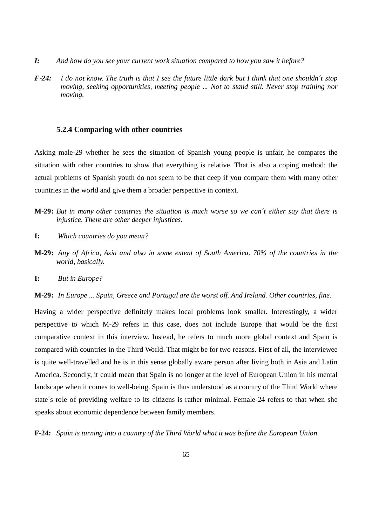- *I: And how do you see your current work situation compared to how you saw it before?*
- *F-24: I do not know. The truth is that I see the future little dark but I think that one shouldn´t stop moving, seeking opportunities, meeting people ... Not to stand still. Never stop training nor moving.*

#### **5.2.4 Comparing with other countries**

Asking male-29 whether he sees the situation of Spanish young people is unfair, he compares the situation with other countries to show that everything is relative. That is also a coping method: the actual problems of Spanish youth do not seem to be that deep if you compare them with many other countries in the world and give them a broader perspective in context.

- **M-29:** *But in many other countries the situation is much worse so we can´t either say that there is injustice. There are other deeper injustices.*
- **I:** *Which countries do you mean?*
- **M-29:** *Any of Africa, Asia and also in some extent of South America. 70% of the countries in the world, basically.*
- **I:** *But in Europe?*

**M-29:** *In Europe ... Spain, Greece and Portugal are the worst off. And Ireland. Other countries, fine.* 

Having a wider perspective definitely makes local problems look smaller. Interestingly, a wider perspective to which M-29 refers in this case, does not include Europe that would be the first comparative context in this interview. Instead, he refers to much more global context and Spain is compared with countries in the Third World. That might be for two reasons. First of all, the interviewee is quite well-travelled and he is in this sense globally aware person after living both in Asia and Latin America. Secondly, it could mean that Spain is no longer at the level of European Union in his mental landscape when it comes to well-being. Spain is thus understood as a country of the Third World where state´s role of providing welfare to its citizens is rather minimal. Female-24 refers to that when she speaks about economic dependence between family members.

**F-24:** *Spain is turning into a country of the Third World what it was before the European Union.*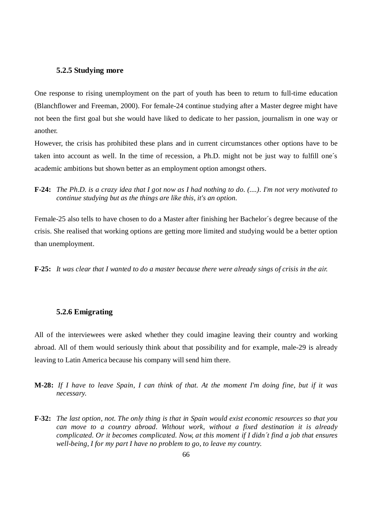#### **5.2.5 Studying more**

One response to rising unemployment on the part of youth has been to return to full-time education (Blanchflower and Freeman, 2000). For female-24 continue studying after a Master degree might have not been the first goal but she would have liked to dedicate to her passion, journalism in one way or another.

However, the crisis has prohibited these plans and in current circumstances other options have to be taken into account as well. In the time of recession, a Ph.D. might not be just way to fulfill one´s academic ambitions but shown better as an employment option amongst others.

**F-24:** *The Ph.D. is a crazy idea that I got now as I had nothing to do. (....). I'm not very motivated to continue studying but as the things are like this, it's an option.* 

Female-25 also tells to have chosen to do a Master after finishing her Bachelor´s degree because of the crisis. She realised that working options are getting more limited and studying would be a better option than unemployment.

**F-25:** *It was clear that I wanted to do a master because there were already sings of crisis in the air.* 

## **5.2.6 Emigrating**

All of the interviewees were asked whether they could imagine leaving their country and working abroad. All of them would seriously think about that possibility and for example, male-29 is already leaving to Latin America because his company will send him there.

- **M-28:** *If I have to leave Spain, I can think of that. At the moment I'm doing fine, but if it was necessary.*
- **F-32:** *The last option, not. The only thing is that in Spain would exist economic resources so that you can move to a country abroad. Without work, without a fixed destination it is already complicated. Or it becomes complicated. Now, at this moment if I didn´t find a job that ensures well-being, I for my part I have no problem to go, to leave my country.*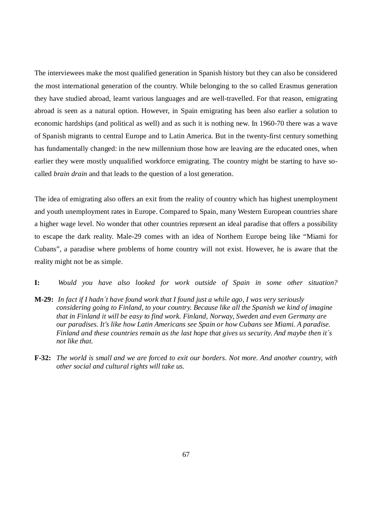The interviewees make the most qualified generation in Spanish history but they can also be considered the most international generation of the country. While belonging to the so called Erasmus generation they have studied abroad, learnt various languages and are well-travelled. For that reason, emigrating abroad is seen as a natural option. However, in Spain emigrating has been also earlier a solution to economic hardships (and political as well) and as such it is nothing new. In 1960-70 there was a wave of Spanish migrants to central Europe and to Latin America. But in the twenty-first century something has fundamentally changed: in the new millennium those how are leaving are the educated ones, when earlier they were mostly unqualified workforce emigrating. The country might be starting to have socalled *brain drain* and that leads to the question of a lost generation.

The idea of emigrating also offers an exit from the reality of country which has highest unemployment and youth unemployment rates in Europe. Compared to Spain, many Western European countries share a higher wage level. No wonder that other countries represent an ideal paradise that offers a possibility to escape the dark reality. Male-29 comes with an idea of Northern Europe being like "Miami for Cubans", a paradise where problems of home country will not exist. However, he is aware that the reality might not be as simple.

- **I:** *Would you have also looked for work outside of Spain in some other situation?*
- **M-29:** *In fact if I hadn´t have found work that I found just a while ago, I was very seriously considering going to Finland, to your country. Because like all the Spanish we kind of imagine that in Finland it will be easy to find work. Finland, Norway, Sweden and even Germany are our paradises. It's like how Latin Americans see Spain or how Cubans see Miami. A paradise. Finland and these countries remain as the last hope that gives us security. And maybe then it´s not like that.*
- **F-32:** *The world is small and we are forced to exit our borders. Not more. And another country, with other social and cultural rights will take us.*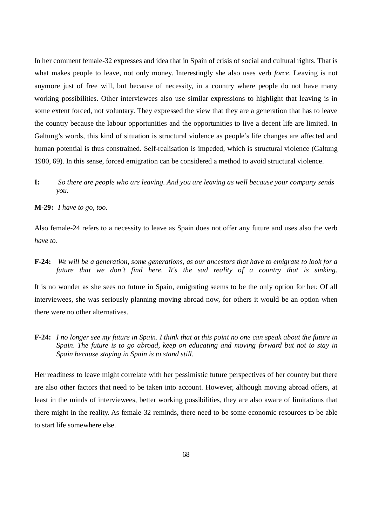In her comment female-32 expresses and idea that in Spain of crisis of social and cultural rights. That is what makes people to leave, not only money. Interestingly she also uses verb *force*. Leaving is not anymore just of free will, but because of necessity, in a country where people do not have many working possibilities. Other interviewees also use similar expressions to highlight that leaving is in some extent forced, not voluntary. They expressed the view that they are a generation that has to leave the country because the labour opportunities and the opportunities to live a decent life are limited. In Galtung's words, this kind of situation is structural violence as people's life changes are affected and human potential is thus constrained. Self-realisation is impeded, which is structural violence (Galtung 1980, 69). In this sense, forced emigration can be considered a method to avoid structural violence.

**I:** *So there are people who are leaving. And you are leaving as well because your company sends you.* 

**M-29:** *I have to go, too.* 

Also female-24 refers to a necessity to leave as Spain does not offer any future and uses also the verb *have to*.

**F-24:** *We will be a generation, some generations, as our ancestors that have to emigrate to look for a future that we don´t find here. It's the sad reality of a country that is sinking.* 

It is no wonder as she sees no future in Spain, emigrating seems to be the only option for her. Of all interviewees, she was seriously planning moving abroad now, for others it would be an option when there were no other alternatives.

**F-24:** *I no longer see my future in Spain. I think that at this point no one can speak about the future in Spain. The future is to go abroad, keep on educating and moving forward but not to stay in Spain because staying in Spain is to stand still.* 

Her readiness to leave might correlate with her pessimistic future perspectives of her country but there are also other factors that need to be taken into account. However, although moving abroad offers, at least in the minds of interviewees, better working possibilities, they are also aware of limitations that there might in the reality. As female-32 reminds, there need to be some economic resources to be able to start life somewhere else.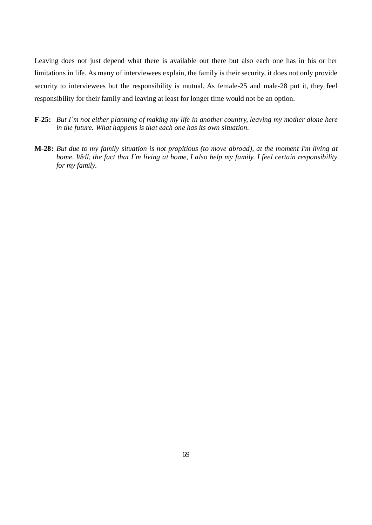Leaving does not just depend what there is available out there but also each one has in his or her limitations in life. As many of interviewees explain, the family is their security, it does not only provide security to interviewees but the responsibility is mutual. As female-25 and male-28 put it, they feel responsibility for their family and leaving at least for longer time would not be an option.

- **F-25:** *But I`m not either planning of making my life in another country, leaving my mother alone here in the future. What happens is that each one has its own situation.*
- **M-28:** *But due to my family situation is not propitious (to move abroad), at the moment I'm living at home. Well, the fact that I´m living at home, I also help my family. I feel certain responsibility for my family.*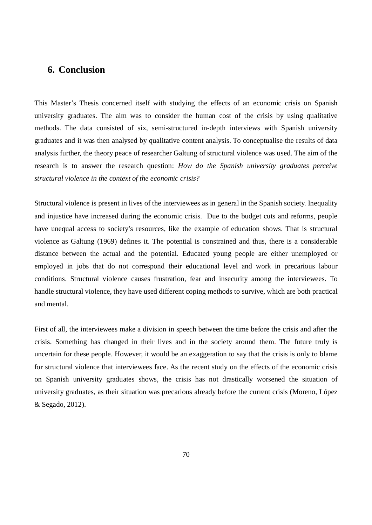## **6. Conclusion**

This Master's Thesis concerned itself with studying the effects of an economic crisis on Spanish university graduates. The aim was to consider the human cost of the crisis by using qualitative methods. The data consisted of six, semi-structured in-depth interviews with Spanish university graduates and it was then analysed by qualitative content analysis. To conceptualise the results of data analysis further, the theory peace of researcher Galtung of structural violence was used. The aim of the research is to answer the research question: *How do the Spanish university graduates perceive structural violence in the context of the economic crisis?*

Structural violence is present in lives of the interviewees as in general in the Spanish society. Inequality and injustice have increased during the economic crisis. Due to the budget cuts and reforms, people have unequal access to society's resources, like the example of education shows. That is structural violence as Galtung (1969) defines it. The potential is constrained and thus, there is a considerable distance between the actual and the potential. Educated young people are either unemployed or employed in jobs that do not correspond their educational level and work in precarious labour conditions. Structural violence causes frustration, fear and insecurity among the interviewees. To handle structural violence, they have used different coping methods to survive, which are both practical and mental.

First of all, the interviewees make a division in speech between the time before the crisis and after the crisis. Something has changed in their lives and in the society around them. The future truly is uncertain for these people. However, it would be an exaggeration to say that the crisis is only to blame for structural violence that interviewees face. As the recent study on the effects of the economic crisis on Spanish university graduates shows, the crisis has not drastically worsened the situation of university graduates, as their situation was precarious already before the current crisis (Moreno, López & Segado, 2012).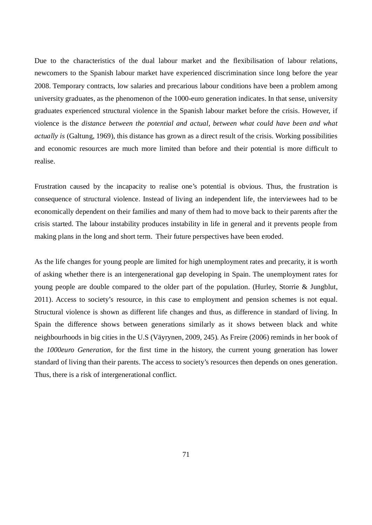Due to the characteristics of the dual labour market and the flexibilisation of labour relations, newcomers to the Spanish labour market have experienced discrimination since long before the year 2008. Temporary contracts, low salaries and precarious labour conditions have been a problem among university graduates, as the phenomenon of the 1000-euro generation indicates. In that sense, university graduates experienced structural violence in the Spanish labour market before the crisis. However, if violence is the *distance between the potential and actual, between what could have been and what actually is* (Galtung, 1969), this distance has grown as a direct result of the crisis. Working possibilities and economic resources are much more limited than before and their potential is more difficult to realise.

Frustration caused by the incapacity to realise one's potential is obvious. Thus, the frustration is consequence of structural violence. Instead of living an independent life, the interviewees had to be economically dependent on their families and many of them had to move back to their parents after the crisis started. The labour instability produces instability in life in general and it prevents people from making plans in the long and short term. Their future perspectives have been eroded.

As the life changes for young people are limited for high unemployment rates and precarity, it is worth of asking whether there is an intergenerational gap developing in Spain. The unemployment rates for young people are double compared to the older part of the population. (Hurley, Storrie & Jungblut, 2011). Access to society's resource, in this case to employment and pension schemes is not equal. Structural violence is shown as different life changes and thus, as difference in standard of living. In Spain the difference shows between generations similarly as it shows between black and white neighbourhoods in big cities in the U.S (Väyrynen, 2009, 245). As Freire (2006) reminds in her book of the *1000euro Generation*, for the first time in the history, the current young generation has lower standard of living than their parents. The access to society's resources then depends on ones generation. Thus, there is a risk of intergenerational conflict.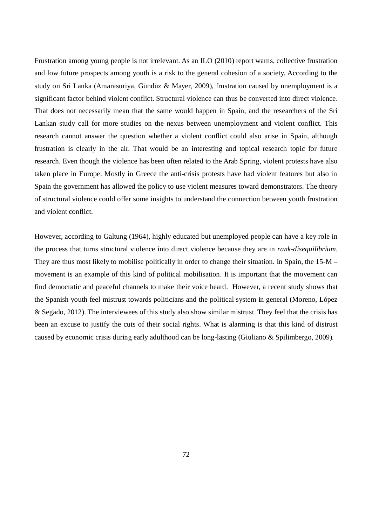Frustration among young people is not irrelevant. As an ILO (2010) report warns, collective frustration and low future prospects among youth is a risk to the general cohesion of a society. According to the study on Sri Lanka (Amarasuriya, Gündüz & Mayer, 2009), frustration caused by unemployment is a significant factor behind violent conflict. Structural violence can thus be converted into direct violence. That does not necessarily mean that the same would happen in Spain, and the researchers of the Sri Lankan study call for more studies on the nexus between unemployment and violent conflict. This research cannot answer the question whether a violent conflict could also arise in Spain, although frustration is clearly in the air. That would be an interesting and topical research topic for future research. Even though the violence has been often related to the Arab Spring, violent protests have also taken place in Europe. Mostly in Greece the anti-crisis protests have had violent features but also in Spain the government has allowed the policy to use violent measures toward demonstrators. The theory of structural violence could offer some insights to understand the connection between youth frustration and violent conflict.

However, according to Galtung (1964), highly educated but unemployed people can have a key role in the process that turns structural violence into direct violence because they are in *rank-disequilibrium*. They are thus most likely to mobilise politically in order to change their situation. In Spain, the 15-M – movement is an example of this kind of political mobilisation. It is important that the movement can find democratic and peaceful channels to make their voice heard. However, a recent study shows that the Spanish youth feel mistrust towards politicians and the political system in general (Moreno, López & Segado, 2012). The interviewees of this study also show similar mistrust. They feel that the crisis has been an excuse to justify the cuts of their social rights. What is alarming is that this kind of distrust caused by economic crisis during early adulthood can be long-lasting (Giuliano & Spilimbergo, 2009).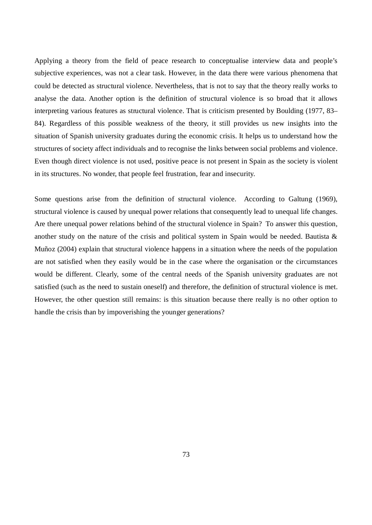Applying a theory from the field of peace research to conceptualise interview data and people's subjective experiences, was not a clear task. However, in the data there were various phenomena that could be detected as structural violence. Nevertheless, that is not to say that the theory really works to analyse the data. Another option is the definition of structural violence is so broad that it allows interpreting various features as structural violence. That is criticism presented by Boulding (1977, 83– 84). Regardless of this possible weakness of the theory, it still provides us new insights into the situation of Spanish university graduates during the economic crisis. It helps us to understand how the structures of society affect individuals and to recognise the links between social problems and violence. Even though direct violence is not used, positive peace is not present in Spain as the society is violent in its structures. No wonder, that people feel frustration, fear and insecurity.

Some questions arise from the definition of structural violence. According to Galtung (1969), structural violence is caused by unequal power relations that consequently lead to unequal life changes. Are there unequal power relations behind of the structural violence in Spain? To answer this question, another study on the nature of the crisis and political system in Spain would be needed. Bautista  $\&$ Muñoz (2004) explain that structural violence happens in a situation where the needs of the population are not satisfied when they easily would be in the case where the organisation or the circumstances would be different. Clearly, some of the central needs of the Spanish university graduates are not satisfied (such as the need to sustain oneself) and therefore, the definition of structural violence is met. However, the other question still remains: is this situation because there really is no other option to handle the crisis than by impoverishing the younger generations?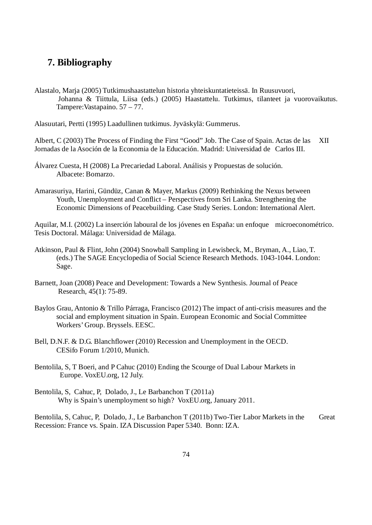## **7. Bibliography**

Alastalo, Marja (2005) Tutkimushaastattelun historia yhteiskuntatieteissä. In Ruusuvuori, Johanna & Tiittula, Liisa (eds.) (2005) Haastattelu. Tutkimus, tilanteet ja vuorovaikutus. Tampere:Vastapaino. 57 – 77.

Alasuutari, Pertti (1995) Laadullinen tutkimus. Jyväskylä: Gummerus.

Albert, C (2003) The Process of Finding the First "Good" Job. The Case of Spain. Actas de las XII Jornadas de la Asoción de la Economia de la Educación. Madrid: Universidad de Carlos III.

- Álvarez Cuesta, H (2008) La Precariedad Laboral. Análisis y Propuestas de solución. Albacete: Bomarzo.
- Amarasuriya, Harini, Gündüz, Canan & Mayer, Markus (2009) Rethinking the Nexus between Youth, Unemployment and Conflict – Perspectives from Sri Lanka. Strengthening the Economic Dimensions of Peacebuilding. Case Study Series. London: International Alert.

Aquilar, M.I. (2002) La inserción laboural de los jóvenes en España: un enfoque microeconométrico. Tesis Doctoral. Málaga: Universidad de Málaga.

- Atkinson, Paul & Flint, John (2004) Snowball Sampling in Lewisbeck, M., Bryman, A., Liao, T. (eds.) The SAGE Encyclopedia of Social Science Research Methods. 1043-1044. London: Sage.
- Barnett, Joan (2008) Peace and Development: Towards a New Synthesis. Journal of Peace Research, 45(1): 75-89.
- Baylos Grau, Antonio & Trillo Párraga, Francisco (2012) The impact of anti-crisis measures and the social and employment situation in Spain. European Economic and Social Committee Workers' Group. Bryssels. EESC.
- Bell, D.N.F. & D.G. Blanchflower (2010) Recession and Unemployment in the OECD. CESifo Forum 1/2010, Munich.
- Bentolila, S, T Boeri, and P Cahuc (2010) Ending the Scourge of Dual Labour Markets in Europe. VoxEU.org, 12 July.
- Bentolila, S, Cahuc, P, Dolado, J., Le Barbanchon T (2011a) Why is Spain's unemployment so high? VoxEU.org, January 2011.

Bentolila, S, Cahuc, P, Dolado, J., Le Barbanchon T (2011b) Two-Tier Labor Markets in the Great Recession: France vs. Spain. IZA Discussion Paper 5340. Bonn: IZA.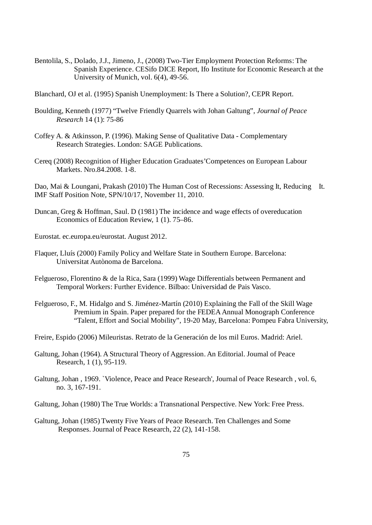- Bentolila, S., Dolado, J.J., Jimeno, J., (2008) Two-Tier Employment Protection Reforms: The Spanish Experience. CESifo DICE Report, Ifo Institute for Economic Research at the University of Munich, vol. 6(4), 49-56.
- Blanchard, OJ et al. (1995) Spanish Unemployment: Is There a Solution?, CEPR Report.
- Boulding, Kenneth (1977) "Twelve Friendly Quarrels with Johan Galtung", *Journal of Peace Research* 14 (1): 75-86
- Coffey A. & Atkinsson, P. (1996). Making Sense of Qualitative Data Complementary Research Strategies. London: SAGE Publications.
- Cereq (2008) Recognition of Higher Education Graduates'Competences on European Labour Markets. Nro.84.2008. 1-8.

Dao, Mai & Loungani, Prakash (2010) The Human Cost of Recessions: Assessing It, Reducing It. IMF Staff Position Note, SPN/10/17, November 11, 2010.

Duncan, Greg & Hoffman, Saul. D (1981) The incidence and wage effects of overeducation Economics of Education Review, 1 (1). 75–86.

Eurostat. ec.europa.eu/eurostat. August 2012.

- Flaquer, Lluís (2000) Family Policy and Welfare State in Southern Europe. Barcelona: Universitat Autònoma de Barcelona.
- Felgueroso, Florentino & de la Rica, Sara (1999) Wage Differentials between Permanent and Temporal Workers: Further Evidence. Bilbao: Universidad de Pais Vasco.
- Felgueroso, F., M. Hidalgo and S. Jiménez-Martín (2010) Explaining the Fall of the Skill Wage Premium in Spain. Paper prepared for the FEDEA Annual Monograph Conference "Talent, Effort and Social Mobility", 19-20 May, Barcelona: Pompeu Fabra University,
- Freire, Espido (2006) Mileuristas. Retrato de la Generación de los mil Euros. Madrid: Ariel.
- Galtung, Johan (1964). A Structural Theory of Aggression. An Editorial. Journal of Peace Research, 1 (1), 95-119.
- Galtung, Johan , 1969. `Violence, Peace and Peace Research', Journal of Peace Research , vol. 6, no. 3, 167-191.

Galtung, Johan (1980) The True Worlds: a Transnational Perspective. New York: Free Press.

Galtung, Johan (1985) Twenty Five Years of Peace Research. Ten Challenges and Some Responses. Journal of Peace Research, 22 (2), 141-158.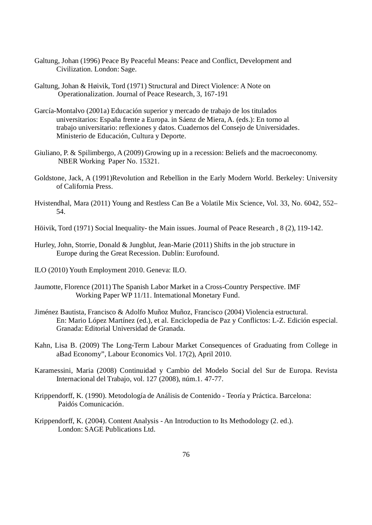- Galtung, Johan (1996) Peace By Peaceful Means: Peace and Conflict, Development and Civilization. London: Sage.
- Galtung, Johan & Høivik, Tord (1971) Structural and Direct Violence: A Note on Operationalization. Journal of Peace Research, 3, 167-191
- García-Montalvo (2001a) Educación superior y mercado de trabajo de los titulados universitarios: España frente a Europa. in Sáenz de Miera, A. (eds.): En torno al trabajo universitario: reflexiones y datos. Cuadernos del Consejo de Universidades. Ministerio de Educación, Cultura y Deporte.
- Giuliano, P. & Spilimbergo, A (2009) Growing up in a recession: Beliefs and the macroeconomy. NBER Working Paper No. 15321.
- Goldstone, Jack, A (1991)Revolution and Rebellion in the Early Modern World. Berkeley: University of California Press.
- Hvistendhal, Mara (2011) Young and Restless Can Be a Volatile Mix Science, Vol. 33, No. 6042, 552– 54.
- Höivik, Tord (1971) Social Inequality- the Main issues. Journal of Peace Research , 8 (2), 119-142.
- Hurley, John, Storrie, Donald & Jungblut, Jean-Marie (2011) Shifts in the job structure in Europe during the Great Recession. Dublin: Eurofound.
- ILO (2010) Youth Employment 2010. Geneva: ILO.
- Jaumotte, Florence (2011) The Spanish Labor Market in a Cross-Country Perspective. IMF Working Paper WP 11/11. International Monetary Fund.
- Jiménez Bautista, Francisco & Adolfo Muñoz Muñoz, Francisco (2004) Violencia estructural. En: Mario López Martínez (ed.), et al. Enciclopedia de Paz y Conflictos: L-Z. Edición especial. Granada: Editorial Universidad de Granada.
- Kahn, Lisa B. (2009) The Long-Term Labour Market Consequences of Graduating from College in aBad Economy", Labour Economics Vol. 17(2), April 2010.
- Karamessini, Maria (2008) Continuidad y Cambio del Modelo Social del Sur de Europa. Revista Internacional del Trabajo, vol. 127 (2008), núm.1. 47-77.
- Krippendorff, K. (1990). Metodología de Análisis de Contenido Teoría y Práctica. Barcelona: Paidós Comunicación.
- Krippendorff, K. (2004). Content Analysis An Introduction to Its Methodology (2. ed.). London: SAGE Publications Ltd.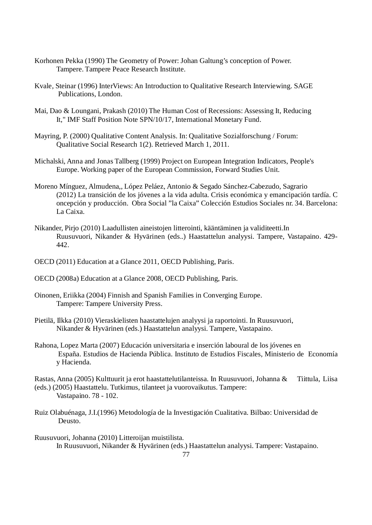- Korhonen Pekka (1990) The Geometry of Power: Johan Galtung's conception of Power. Tampere. Tampere Peace Research Institute.
- Kvale, Steinar (1996) InterViews: An Introduction to Qualitative Research Interviewing. SAGE Publications, London.
- Mai, Dao & Loungani, Prakash (2010) The Human Cost of Recessions: Assessing It, Reducing It," IMF Staff Position Note SPN/10/17, International Monetary Fund.
- Mayring, P. (2000) Qualitative Content Analysis. In: Qualitative Sozialforschung / Forum: Qualitative Social Research 1(2). Retrieved March 1, 2011.
- Michalski, Anna and Jonas Tallberg (1999) Project on European Integration Indicators, People's Europe. Working paper of the European Commission, Forward Studies Unit.
- Moreno Mínguez, Almudena,, López Peláez, Antonio & Segado Sánchez-Cabezudo, Sagrario (2012) La transición de los jóvenes a la vida adulta. Crisis económica y emancipación tardía. C oncepción y producción. Obra Social "la Caixa" Colección Estudios Sociales nr. 34. Barcelona: La Caixa.
- Nikander, Pirjo (2010) Laadullisten aineistojen litterointi, kääntäminen ja validiteetti.In Ruusuvuori, Nikander & Hyvärinen (eds..) Haastattelun analyysi. Tampere, Vastapaino. 429- 442.
- OECD (2011) Education at a Glance 2011, OECD Publishing, Paris.
- OECD (2008a) Education at a Glance 2008, OECD Publishing, Paris.
- Oinonen, Eriikka (2004) Finnish and Spanish Families in Converging Europe. Tampere: Tampere University Press.
- Pietilä, Ilkka (2010) Vieraskielisten haastattelujen analyysi ja raportointi. In Ruusuvuori, Nikander & Hyvärinen (eds.) Haastattelun analyysi. Tampere, Vastapaino.
- Rahona, Lopez Marta (2007) Educación universitaria e inserción laboural de los jóvenes en España. Estudios de Hacienda Pública. Instituto de Estudios Fiscales, Ministerio de Economía y Hacienda.

Rastas, Anna (2005) Kulttuurit ja erot haastattelutilanteissa. In Ruusuvuori, Johanna & Tiittula, Liisa (eds.) (2005) Haastattelu. Tutkimus, tilanteet ja vuorovaikutus. Tampere: Vastapaino. 78 - 102.

Ruiz Olabuénaga, J.I.(1996) Metodología de la Investigación Cualitativa. Bilbao: Universidad de Deusto.

Ruusuvuori, Johanna (2010) Litteroijan muistilista. In Ruusuvuori, Nikander & Hyvärinen (eds.) Haastattelun analyysi. Tampere: Vastapaino.